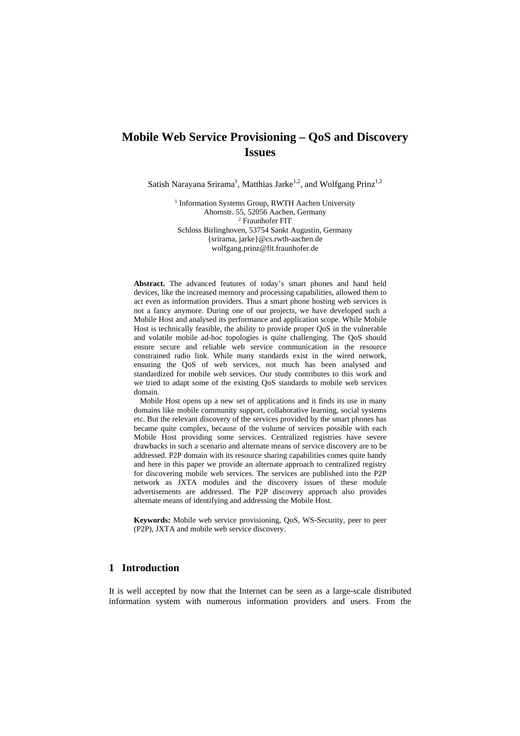# **Mobile Web Service Provisioning – QoS and Discovery Issues**

Satish Narayana Srirama<sup>1</sup>, Matthias Jarke<sup>1,2</sup>, and Wolfgang Prinz<sup>1,2</sup>

<sup>1</sup> Information Systems Group, RWTH Aachen University Ahornstr. 55, 52056 Aachen, Germany 2 <sup>2</sup> Fraunhofer FIT Schloss Birlinghoven, 53754 Sankt Augustin, Germany {srirama, jarke}@cs.rwth-aachen.de wolfgang.prinz@fit.fraunhofer.de

**Abstract.** The advanced features of today's smart phones and hand held devices, like the increased memory and processing capabilities, allowed them to act even as information providers. Thus a smart phone hosting web services is not a fancy anymore. During one of our projects, we have developed such a Mobile Host and analysed its performance and application scope. While Mobile Host is technically feasible, the ability to provide proper QoS in the vulnerable and volatile mobile ad-hoc topologies is quite challenging. The QoS should ensure secure and reliable web service communication in the resource constrained radio link. While many standards exist in the wired network, ensuring the QoS of web services, not much has been analysed and standardized for mobile web services. Our study contributes to this work and we tried to adapt some of the existing QoS standards to mobile web services domain.

 Mobile Host opens up a new set of applications and it finds its use in many domains like mobile community support, collaborative learning, social systems etc. But the relevant discovery of the services provided by the smart phones has became quite complex, because of the volume of services possible with each Mobile Host providing some services. Centralized registries have severe drawbacks in such a scenario and alternate means of service discovery are to be addressed. P2P domain with its resource sharing capabilities comes quite handy and here in this paper we provide an alternate approach to centralized registry for discovering mobile web services. The services are published into the P2P network as JXTA modules and the discovery issues of these module advertisements are addressed. The P2P discovery approach also provides alternate means of identifying and addressing the Mobile Host.

**Keywords:** Mobile web service provisioning, QoS, WS-Security, peer to peer (P2P), JXTA and mobile web service discovery.

# **1 Introduction**

It is well accepted by now that the Internet can be seen as a large-scale distributed information system with numerous information providers and users. From the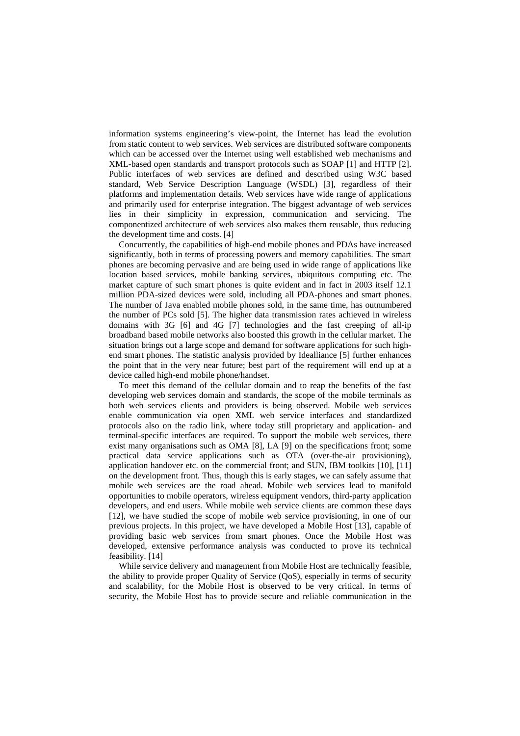information systems engineering's view-point, the Internet has lead the evolution from static content to web services. Web services are distributed software components which can be accessed over the Internet using well established web mechanisms and XML-based open standards and transport protocols such as SOAP [1] and HTTP [2]. Public interfaces of web services are defined and described using W3C based standard, Web Service Description Language (WSDL) [3], regardless of their platforms and implementation details. Web services have wide range of applications and primarily used for enterprise integration. The biggest advantage of web services lies in their simplicity in expression, communication and servicing. The componentized architecture of web services also makes them reusable, thus reducing the development time and costs. [4]

Concurrently, the capabilities of high-end mobile phones and PDAs have increased significantly, both in terms of processing powers and memory capabilities. The smart phones are becoming pervasive and are being used in wide range of applications like location based services, mobile banking services, ubiquitous computing etc. The market capture of such smart phones is quite evident and in fact in 2003 itself 12.1 million PDA-sized devices were sold, including all PDA-phones and smart phones. The number of Java enabled mobile phones sold, in the same time, has outnumbered the number of PCs sold [5]. The higher data transmission rates achieved in wireless domains with 3G [6] and 4G [7] technologies and the fast creeping of all-ip broadband based mobile networks also boosted this growth in the cellular market. The situation brings out a large scope and demand for software applications for such highend smart phones. The statistic analysis provided by Idealliance [5] further enhances the point that in the very near future; best part of the requirement will end up at a device called high-end mobile phone/handset.

To meet this demand of the cellular domain and to reap the benefits of the fast developing web services domain and standards, the scope of the mobile terminals as both web services clients and providers is being observed. Mobile web services enable communication via open XML web service interfaces and standardized protocols also on the radio link, where today still proprietary and application- and terminal-specific interfaces are required. To support the mobile web services, there exist many organisations such as OMA [8], LA [9] on the specifications front; some practical data service applications such as OTA (over-the-air provisioning), application handover etc. on the commercial front; and SUN, IBM toolkits [10], [11] on the development front. Thus, though this is early stages, we can safely assume that mobile web services are the road ahead. Mobile web services lead to manifold opportunities to mobile operators, wireless equipment vendors, third-party application developers, and end users. While mobile web service clients are common these days [12], we have studied the scope of mobile web service provisioning, in one of our previous projects. In this project, we have developed a Mobile Host [13], capable of providing basic web services from smart phones. Once the Mobile Host was developed, extensive performance analysis was conducted to prove its technical feasibility. [14]

While service delivery and management from Mobile Host are technically feasible, the ability to provide proper Quality of Service (QoS), especially in terms of security and scalability, for the Mobile Host is observed to be very critical. In terms of security, the Mobile Host has to provide secure and reliable communication in the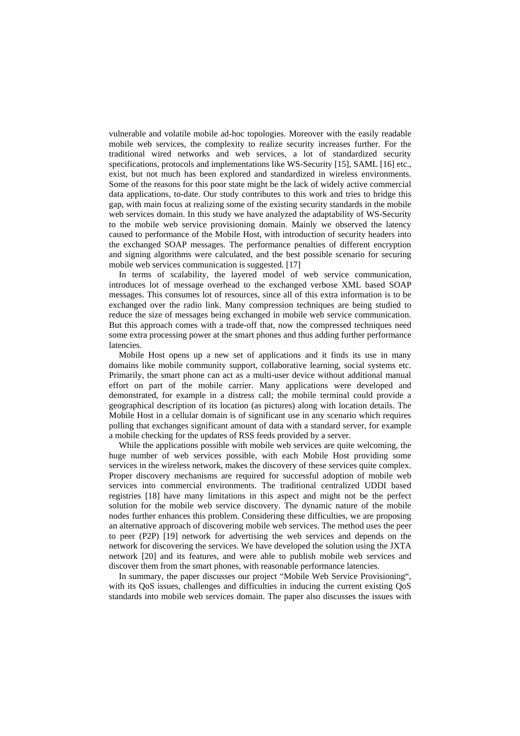vulnerable and volatile mobile ad-hoc topologies. Moreover with the easily readable mobile web services, the complexity to realize security increases further. For the traditional wired networks and web services, a lot of standardized security specifications, protocols and implementations like WS-Security [15], SAML [16] etc., exist, but not much has been explored and standardized in wireless environments. Some of the reasons for this poor state might be the lack of widely active commercial data applications, to-date. Our study contributes to this work and tries to bridge this gap, with main focus at realizing some of the existing security standards in the mobile web services domain. In this study we have analyzed the adaptability of WS-Security to the mobile web service provisioning domain. Mainly we observed the latency caused to performance of the Mobile Host, with introduction of security headers into the exchanged SOAP messages. The performance penalties of different encryption and signing algorithms were calculated, and the best possible scenario for securing mobile web services communication is suggested. [17]

In terms of scalability, the layered model of web service communication, introduces lot of message overhead to the exchanged verbose XML based SOAP messages. This consumes lot of resources, since all of this extra information is to be exchanged over the radio link. Many compression techniques are being studied to reduce the size of messages being exchanged in mobile web service communication. But this approach comes with a trade-off that, now the compressed techniques need some extra processing power at the smart phones and thus adding further performance latencies.

Mobile Host opens up a new set of applications and it finds its use in many domains like mobile community support, collaborative learning, social systems etc. Primarily, the smart phone can act as a multi-user device without additional manual effort on part of the mobile carrier. Many applications were developed and demonstrated, for example in a distress call; the mobile terminal could provide a geographical description of its location (as pictures) along with location details. The Mobile Host in a cellular domain is of significant use in any scenario which requires polling that exchanges significant amount of data with a standard server, for example a mobile checking for the updates of RSS feeds provided by a server.

While the applications possible with mobile web services are quite welcoming, the huge number of web services possible, with each Mobile Host providing some services in the wireless network, makes the discovery of these services quite complex. Proper discovery mechanisms are required for successful adoption of mobile web services into commercial environments. The traditional centralized UDDI based registries [18] have many limitations in this aspect and might not be the perfect solution for the mobile web service discovery. The dynamic nature of the mobile nodes further enhances this problem. Considering these difficulties, we are proposing an alternative approach of discovering mobile web services. The method uses the peer to peer (P2P) [19] network for advertising the web services and depends on the network for discovering the services. We have developed the solution using the JXTA network [20] and its features, and were able to publish mobile web services and discover them from the smart phones, with reasonable performance latencies.

In summary, the paper discusses our project "Mobile Web Service Provisioning", with its QoS issues, challenges and difficulties in inducing the current existing QoS standards into mobile web services domain. The paper also discusses the issues with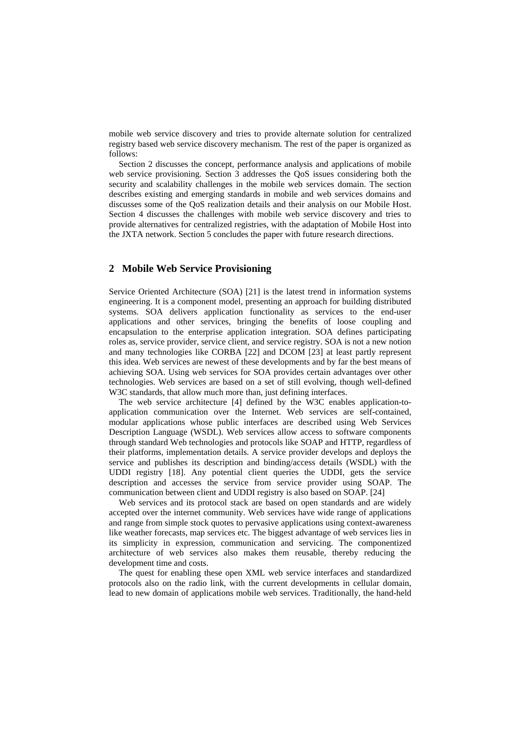mobile web service discovery and tries to provide alternate solution for centralized registry based web service discovery mechanism. The rest of the paper is organized as follows:

Section 2 discusses the concept, performance analysis and applications of mobile web service provisioning. Section 3 addresses the QoS issues considering both the security and scalability challenges in the mobile web services domain. The section describes existing and emerging standards in mobile and web services domains and discusses some of the QoS realization details and their analysis on our Mobile Host. Section 4 discusses the challenges with mobile web service discovery and tries to provide alternatives for centralized registries, with the adaptation of Mobile Host into the JXTA network. Section 5 concludes the paper with future research directions.

# **2 Mobile Web Service Provisioning**

Service Oriented Architecture (SOA) [21] is the latest trend in information systems engineering. It is a component model, presenting an approach for building distributed systems. SOA delivers application functionality as services to the end-user applications and other services, bringing the benefits of loose coupling and encapsulation to the enterprise application integration. SOA defines participating roles as, service provider, service client, and service registry. SOA is not a new notion and many technologies like CORBA [22] and DCOM [23] at least partly represent this idea. Web services are newest of these developments and by far the best means of achieving SOA. Using web services for SOA provides certain advantages over other technologies. Web services are based on a set of still evolving, though well-defined W3C standards, that allow much more than, just defining interfaces.

The web service architecture [4] defined by the W3C enables application-toapplication communication over the Internet. Web services are self-contained, modular applications whose public interfaces are described using Web Services Description Language (WSDL). Web services allow access to software components through standard Web technologies and protocols like SOAP and HTTP, regardless of their platforms, implementation details. A service provider develops and deploys the service and publishes its description and binding/access details (WSDL) with the UDDI registry [18]. Any potential client queries the UDDI, gets the service description and accesses the service from service provider using SOAP. The communication between client and UDDI registry is also based on SOAP. [24]

Web services and its protocol stack are based on open standards and are widely accepted over the internet community. Web services have wide range of applications and range from simple stock quotes to pervasive applications using context-awareness like weather forecasts, map services etc. The biggest advantage of web services lies in its simplicity in expression, communication and servicing. The componentized architecture of web services also makes them reusable, thereby reducing the development time and costs.

The quest for enabling these open XML web service interfaces and standardized protocols also on the radio link, with the current developments in cellular domain, lead to new domain of applications mobile web services. Traditionally, the hand-held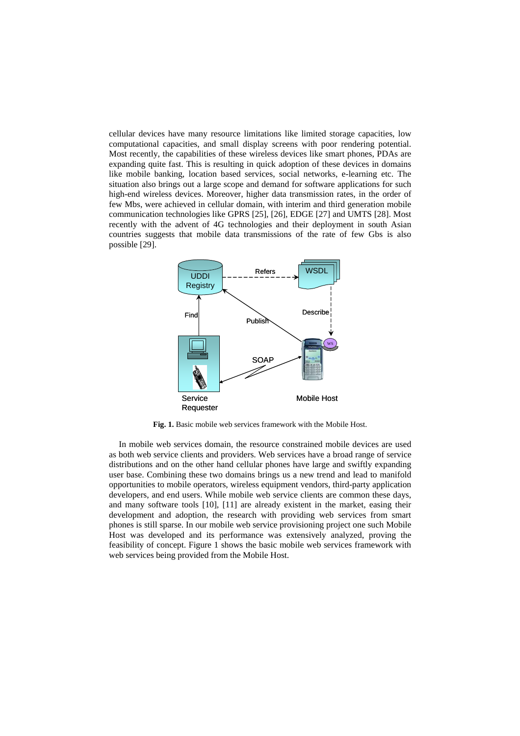cellular devices have many resource limitations like limited storage capacities, low computational capacities, and small display screens with poor rendering potential. Most recently, the capabilities of these wireless devices like smart phones, PDAs are expanding quite fast. This is resulting in quick adoption of these devices in domains like mobile banking, location based services, social networks, e-learning etc. The situation also brings out a large scope and demand for software applications for such high-end wireless devices. Moreover, higher data transmission rates, in the order of few Mbs, were achieved in cellular domain, with interim and third generation mobile communication technologies like GPRS [25], [26], EDGE [27] and UMTS [28]. Most recently with the advent of 4G technologies and their deployment in south Asian countries suggests that mobile data transmissions of the rate of few Gbs is also possible [29].



**Fig. 1.** Basic mobile web services framework with the Mobile Host.

In mobile web services domain, the resource constrained mobile devices are used as both web service clients and providers. Web services have a broad range of service distributions and on the other hand cellular phones have large and swiftly expanding user base. Combining these two domains brings us a new trend and lead to manifold opportunities to mobile operators, wireless equipment vendors, third-party application developers, and end users. While mobile web service clients are common these days, and many software tools [10], [11] are already existent in the market, easing their development and adoption, the research with providing web services from smart phones is still sparse. In our mobile web service provisioning project one such Mobile Host was developed and its performance was extensively analyzed, proving the feasibility of concept. Figure 1 shows the basic mobile web services framework with web services being provided from the Mobile Host.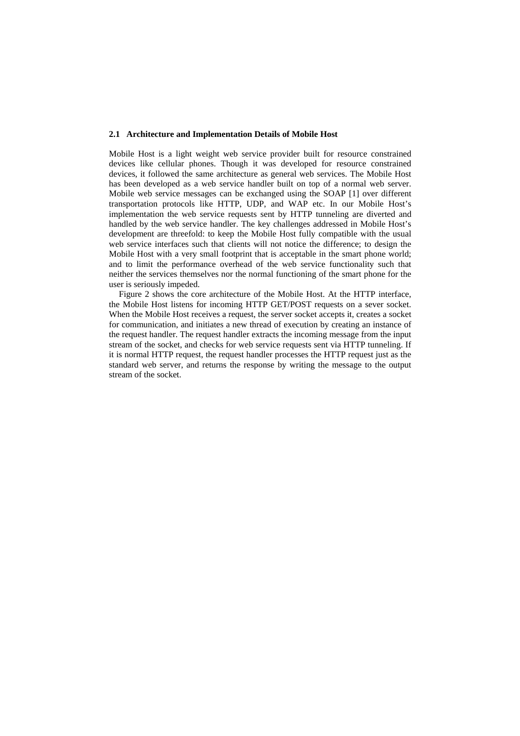## **2.1 Architecture and Implementation Details of Mobile Host**

Mobile Host is a light weight web service provider built for resource constrained devices like cellular phones. Though it was developed for resource constrained devices, it followed the same architecture as general web services. The Mobile Host has been developed as a web service handler built on top of a normal web server. Mobile web service messages can be exchanged using the SOAP [1] over different transportation protocols like HTTP, UDP, and WAP etc. In our Mobile Host's implementation the web service requests sent by HTTP tunneling are diverted and handled by the web service handler. The key challenges addressed in Mobile Host's development are threefold: to keep the Mobile Host fully compatible with the usual web service interfaces such that clients will not notice the difference; to design the Mobile Host with a very small footprint that is acceptable in the smart phone world; and to limit the performance overhead of the web service functionality such that neither the services themselves nor the normal functioning of the smart phone for the user is seriously impeded.

Figure 2 shows the core architecture of the Mobile Host. At the HTTP interface, the Mobile Host listens for incoming HTTP GET/POST requests on a sever socket. When the Mobile Host receives a request, the server socket accepts it, creates a socket for communication, and initiates a new thread of execution by creating an instance of the request handler. The request handler extracts the incoming message from the input stream of the socket, and checks for web service requests sent via HTTP tunneling. If it is normal HTTP request, the request handler processes the HTTP request just as the standard web server, and returns the response by writing the message to the output stream of the socket.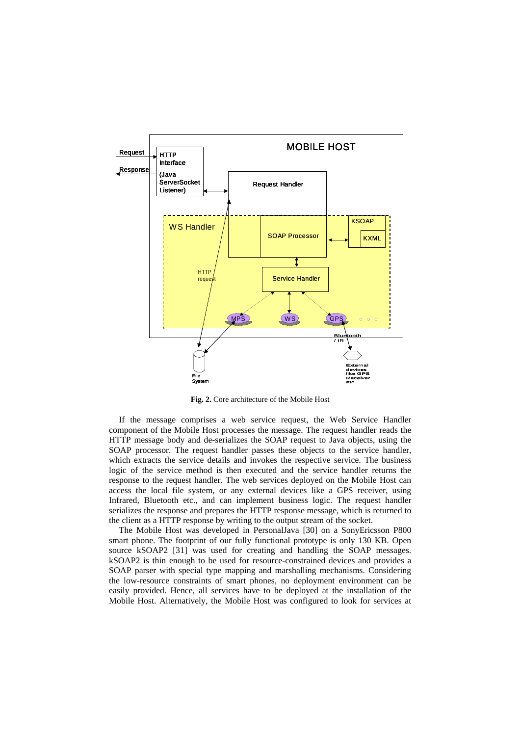

**Fig. 2.** Core architecture of the Mobile Host

If the message comprises a web service request, the Web Service Handler component of the Mobile Host processes the message. The request handler reads the HTTP message body and de-serializes the SOAP request to Java objects, using the SOAP processor. The request handler passes these objects to the service handler, which extracts the service details and invokes the respective service. The business logic of the service method is then executed and the service handler returns the response to the request handler. The web services deployed on the Mobile Host can access the local file system, or any external devices like a GPS receiver, using Infrared, Bluetooth etc., and can implement business logic. The request handler serializes the response and prepares the HTTP response message, which is returned to the client as a HTTP response by writing to the output stream of the socket.

The Mobile Host was developed in PersonalJava [30] on a SonyEricsson P800 smart phone. The footprint of our fully functional prototype is only 130 KB. Open source kSOAP2 [31] was used for creating and handling the SOAP messages. kSOAP2 is thin enough to be used for resource-constrained devices and provides a SOAP parser with special type mapping and marshalling mechanisms. Considering the low-resource constraints of smart phones, no deployment environment can be easily provided. Hence, all services have to be deployed at the installation of the Mobile Host. Alternatively, the Mobile Host was configured to look for services at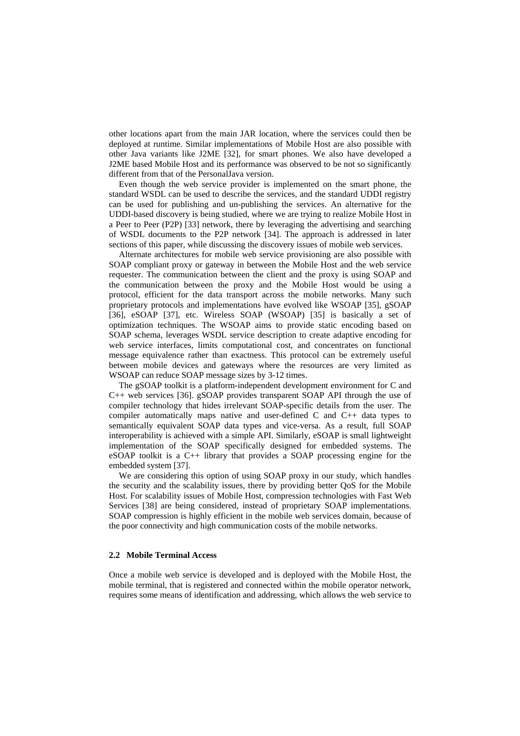other locations apart from the main JAR location, where the services could then be deployed at runtime. Similar implementations of Mobile Host are also possible with other Java variants like J2ME [32], for smart phones. We also have developed a J2ME based Mobile Host and its performance was observed to be not so significantly different from that of the PersonalJava version.

Even though the web service provider is implemented on the smart phone, the standard WSDL can be used to describe the services, and the standard UDDI registry can be used for publishing and un-publishing the services. An alternative for the UDDI-based discovery is being studied, where we are trying to realize Mobile Host in a Peer to Peer (P2P) [33] network, there by leveraging the advertising and searching of WSDL documents to the P2P network [34]. The approach is addressed in later sections of this paper, while discussing the discovery issues of mobile web services.

Alternate architectures for mobile web service provisioning are also possible with SOAP compliant proxy or gateway in between the Mobile Host and the web service requester. The communication between the client and the proxy is using SOAP and the communication between the proxy and the Mobile Host would be using a protocol, efficient for the data transport across the mobile networks. Many such proprietary protocols and implementations have evolved like WSOAP [35], gSOAP [36], eSOAP [37], etc. Wireless SOAP (WSOAP) [35] is basically a set of optimization techniques. The WSOAP aims to provide static encoding based on SOAP schema, leverages WSDL service description to create adaptive encoding for web service interfaces, limits computational cost, and concentrates on functional message equivalence rather than exactness. This protocol can be extremely useful between mobile devices and gateways where the resources are very limited as WSOAP can reduce SOAP message sizes by 3-12 times.

The gSOAP toolkit is a platform-independent development environment for C and C++ web services [36]. gSOAP provides transparent SOAP API through the use of compiler technology that hides irrelevant SOAP-specific details from the user. The compiler automatically maps native and user-defined C and C++ data types to semantically equivalent SOAP data types and vice-versa. As a result, full SOAP interoperability is achieved with a simple API. Similarly, eSOAP is small lightweight implementation of the SOAP specifically designed for embedded systems. The eSOAP toolkit is a C++ library that provides a SOAP processing engine for the embedded system [37].

We are considering this option of using SOAP proxy in our study, which handles the security and the scalability issues, there by providing better QoS for the Mobile Host. For scalability issues of Mobile Host, compression technologies with Fast Web Services [38] are being considered, instead of proprietary SOAP implementations. SOAP compression is highly efficient in the mobile web services domain, because of the poor connectivity and high communication costs of the mobile networks.

# **2.2 Mobile Terminal Access**

Once a mobile web service is developed and is deployed with the Mobile Host, the mobile terminal, that is registered and connected within the mobile operator network, requires some means of identification and addressing, which allows the web service to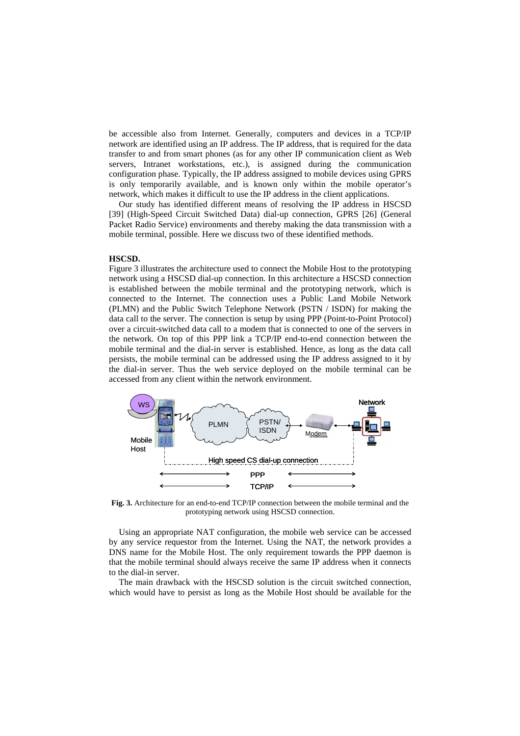be accessible also from Internet. Generally, computers and devices in a TCP/IP network are identified using an IP address. The IP address, that is required for the data transfer to and from smart phones (as for any other IP communication client as Web servers, Intranet workstations, etc.), is assigned during the communication configuration phase. Typically, the IP address assigned to mobile devices using GPRS is only temporarily available, and is known only within the mobile operator's network, which makes it difficult to use the IP address in the client applications.

Our study has identified different means of resolving the IP address in HSCSD [39] (High-Speed Circuit Switched Data) dial-up connection, GPRS [26] (General Packet Radio Service) environments and thereby making the data transmission with a mobile terminal, possible. Here we discuss two of these identified methods.

#### **HSCSD.**

Figure 3 illustrates the architecture used to connect the Mobile Host to the prototyping network using a HSCSD dial-up connection. In this architecture a HSCSD connection is established between the mobile terminal and the prototyping network, which is connected to the Internet. The connection uses a Public Land Mobile Network (PLMN) and the Public Switch Telephone Network (PSTN / ISDN) for making the data call to the server. The connection is setup by using PPP (Point-to-Point Protocol) over a circuit-switched data call to a modem that is connected to one of the servers in the network. On top of this PPP link a TCP/IP end-to-end connection between the mobile terminal and the dial-in server is established. Hence, as long as the data call persists, the mobile terminal can be addressed using the IP address assigned to it by the dial-in server. Thus the web service deployed on the mobile terminal can be accessed from any client within the network environment.



**Fig. 3.** Architecture for an end-to-end TCP/IP connection between the mobile terminal and the prototyping network using HSCSD connection.

Using an appropriate NAT configuration, the mobile web service can be accessed by any service requestor from the Internet. Using the NAT, the network provides a DNS name for the Mobile Host. The only requirement towards the PPP daemon is that the mobile terminal should always receive the same IP address when it connects to the dial-in server.

The main drawback with the HSCSD solution is the circuit switched connection, which would have to persist as long as the Mobile Host should be available for the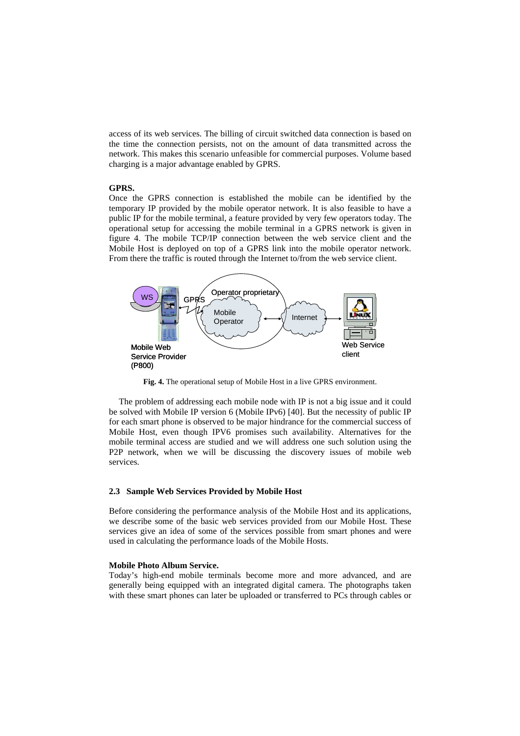access of its web services. The billing of circuit switched data connection is based on the time the connection persists, not on the amount of data transmitted across the network. This makes this scenario unfeasible for commercial purposes. Volume based charging is a major advantage enabled by GPRS.

# **GPRS.**

Once the GPRS connection is established the mobile can be identified by the temporary IP provided by the mobile operator network. It is also feasible to have a public IP for the mobile terminal, a feature provided by very few operators today. The operational setup for accessing the mobile terminal in a GPRS network is given in figure 4. The mobile TCP/IP connection between the web service client and the Mobile Host is deployed on top of a GPRS link into the mobile operator network. From there the traffic is routed through the Internet to/from the web service client.



**Fig. 4.** The operational setup of Mobile Host in a live GPRS environment.

The problem of addressing each mobile node with IP is not a big issue and it could be solved with Mobile IP version 6 (Mobile IPv6) [40]. But the necessity of public IP for each smart phone is observed to be major hindrance for the commercial success of Mobile Host, even though IPV6 promises such availability. Alternatives for the mobile terminal access are studied and we will address one such solution using the P2P network, when we will be discussing the discovery issues of mobile web services.

# **2.3 Sample Web Services Provided by Mobile Host**

Before considering the performance analysis of the Mobile Host and its applications, we describe some of the basic web services provided from our Mobile Host. These services give an idea of some of the services possible from smart phones and were used in calculating the performance loads of the Mobile Hosts.

#### **Mobile Photo Album Service.**

Today's high-end mobile terminals become more and more advanced, and are generally being equipped with an integrated digital camera. The photographs taken with these smart phones can later be uploaded or transferred to PCs through cables or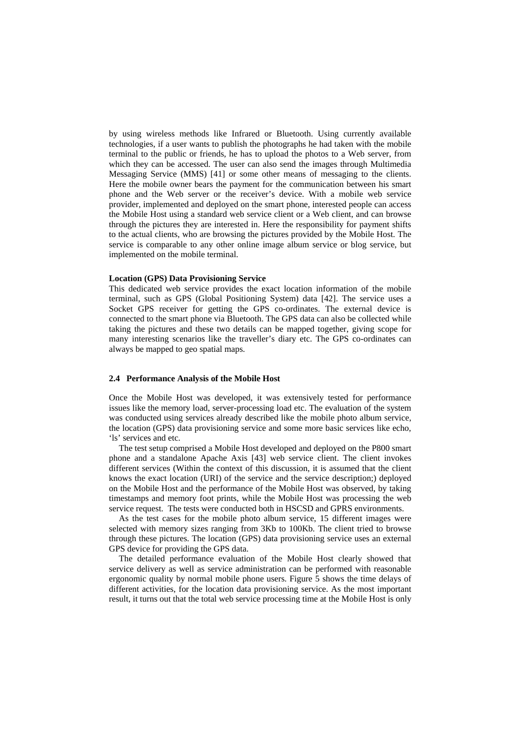by using wireless methods like Infrared or Bluetooth. Using currently available technologies, if a user wants to publish the photographs he had taken with the mobile terminal to the public or friends, he has to upload the photos to a Web server, from which they can be accessed. The user can also send the images through Multimedia Messaging Service (MMS) [41] or some other means of messaging to the clients. Here the mobile owner bears the payment for the communication between his smart phone and the Web server or the receiver's device. With a mobile web service provider, implemented and deployed on the smart phone, interested people can access the Mobile Host using a standard web service client or a Web client, and can browse through the pictures they are interested in. Here the responsibility for payment shifts to the actual clients, who are browsing the pictures provided by the Mobile Host. The service is comparable to any other online image album service or blog service, but implemented on the mobile terminal.

#### **Location (GPS) Data Provisioning Service**

This dedicated web service provides the exact location information of the mobile terminal, such as GPS (Global Positioning System) data [42]. The service uses a Socket GPS receiver for getting the GPS co-ordinates. The external device is connected to the smart phone via Bluetooth. The GPS data can also be collected while taking the pictures and these two details can be mapped together, giving scope for many interesting scenarios like the traveller's diary etc. The GPS co-ordinates can always be mapped to geo spatial maps.

# **2.4 Performance Analysis of the Mobile Host**

Once the Mobile Host was developed, it was extensively tested for performance issues like the memory load, server-processing load etc. The evaluation of the system was conducted using services already described like the mobile photo album service, the location (GPS) data provisioning service and some more basic services like echo, 'ls' services and etc.

The test setup comprised a Mobile Host developed and deployed on the P800 smart phone and a standalone Apache Axis [43] web service client. The client invokes different services (Within the context of this discussion, it is assumed that the client knows the exact location (URI) of the service and the service description;) deployed on the Mobile Host and the performance of the Mobile Host was observed, by taking timestamps and memory foot prints, while the Mobile Host was processing the web service request. The tests were conducted both in HSCSD and GPRS environments.

As the test cases for the mobile photo album service, 15 different images were selected with memory sizes ranging from 3Kb to 100Kb. The client tried to browse through these pictures. The location (GPS) data provisioning service uses an external GPS device for providing the GPS data.

The detailed performance evaluation of the Mobile Host clearly showed that service delivery as well as service administration can be performed with reasonable ergonomic quality by normal mobile phone users. Figure 5 shows the time delays of different activities, for the location data provisioning service. As the most important result, it turns out that the total web service processing time at the Mobile Host is only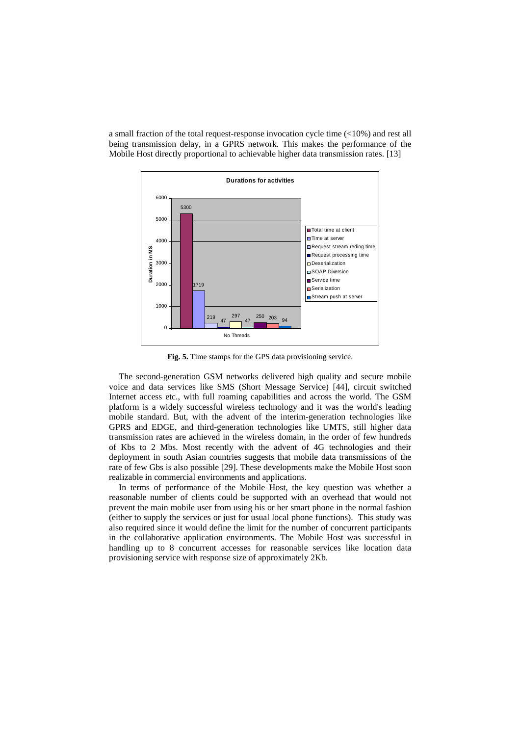a small fraction of the total request-response invocation cycle time (<10%) and rest all being transmission delay, in a GPRS network. This makes the performance of the Mobile Host directly proportional to achievable higher data transmission rates. [13]



**Fig. 5.** Time stamps for the GPS data provisioning service.

The second-generation GSM networks delivered high quality and secure mobile voice and data services like SMS (Short Message Service) [44], circuit switched Internet access etc., with full roaming capabilities and across the world. The GSM platform is a widely successful wireless technology and it was the world's leading mobile standard. But, with the advent of the interim-generation technologies like GPRS and EDGE, and third-generation technologies like UMTS, still higher data transmission rates are achieved in the wireless domain, in the order of few hundreds of Kbs to 2 Mbs. Most recently with the advent of 4G technologies and their deployment in south Asian countries suggests that mobile data transmissions of the rate of few Gbs is also possible [29]. These developments make the Mobile Host soon realizable in commercial environments and applications.

In terms of performance of the Mobile Host, the key question was whether a reasonable number of clients could be supported with an overhead that would not prevent the main mobile user from using his or her smart phone in the normal fashion (either to supply the services or just for usual local phone functions). This study was also required since it would define the limit for the number of concurrent participants in the collaborative application environments. The Mobile Host was successful in handling up to 8 concurrent accesses for reasonable services like location data provisioning service with response size of approximately 2Kb.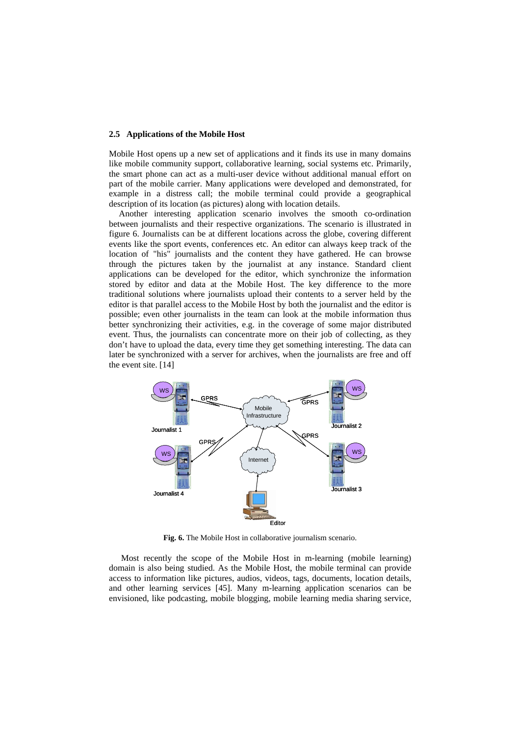## **2.5 Applications of the Mobile Host**

Mobile Host opens up a new set of applications and it finds its use in many domains like mobile community support, collaborative learning, social systems etc. Primarily, the smart phone can act as a multi-user device without additional manual effort on part of the mobile carrier. Many applications were developed and demonstrated, for example in a distress call; the mobile terminal could provide a geographical description of its location (as pictures) along with location details.

Another interesting application scenario involves the smooth co-ordination between journalists and their respective organizations. The scenario is illustrated in figure 6. Journalists can be at different locations across the globe, covering different events like the sport events, conferences etc. An editor can always keep track of the location of "his" journalists and the content they have gathered. He can browse through the pictures taken by the journalist at any instance. Standard client applications can be developed for the editor, which synchronize the information stored by editor and data at the Mobile Host. The key difference to the more traditional solutions where journalists upload their contents to a server held by the editor is that parallel access to the Mobile Host by both the journalist and the editor is possible; even other journalists in the team can look at the mobile information thus better synchronizing their activities, e.g. in the coverage of some major distributed event. Thus, the journalists can concentrate more on their job of collecting, as they don't have to upload the data, every time they get something interesting. The data can later be synchronized with a server for archives, when the journalists are free and off the event site. [14]



**Fig. 6.** The Mobile Host in collaborative journalism scenario.

 Most recently the scope of the Mobile Host in m-learning (mobile learning) domain is also being studied. As the Mobile Host, the mobile terminal can provide access to information like pictures, audios, videos, tags, documents, location details, and other learning services [45]. Many m-learning application scenarios can be envisioned, like podcasting, mobile blogging, mobile learning media sharing service,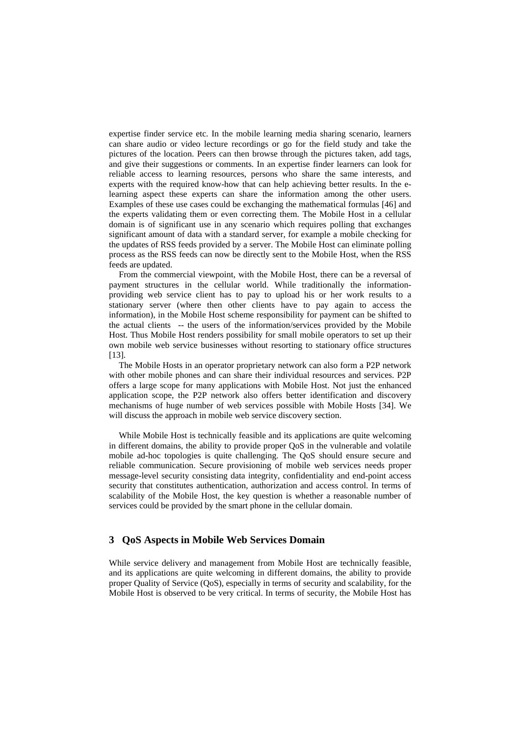expertise finder service etc. In the mobile learning media sharing scenario, learners can share audio or video lecture recordings or go for the field study and take the pictures of the location. Peers can then browse through the pictures taken, add tags, and give their suggestions or comments. In an expertise finder learners can look for reliable access to learning resources, persons who share the same interests, and experts with the required know-how that can help achieving better results. In the elearning aspect these experts can share the information among the other users. Examples of these use cases could be exchanging the mathematical formulas [46] and the experts validating them or even correcting them. The Mobile Host in a cellular domain is of significant use in any scenario which requires polling that exchanges significant amount of data with a standard server, for example a mobile checking for the updates of RSS feeds provided by a server. The Mobile Host can eliminate polling process as the RSS feeds can now be directly sent to the Mobile Host, when the RSS feeds are updated.

From the commercial viewpoint, with the Mobile Host, there can be a reversal of payment structures in the cellular world. While traditionally the informationproviding web service client has to pay to upload his or her work results to a stationary server (where then other clients have to pay again to access the information), in the Mobile Host scheme responsibility for payment can be shifted to the actual clients -- the users of the information/services provided by the Mobile Host. Thus Mobile Host renders possibility for small mobile operators to set up their own mobile web service businesses without resorting to stationary office structures [13].

The Mobile Hosts in an operator proprietary network can also form a P2P network with other mobile phones and can share their individual resources and services. P2P offers a large scope for many applications with Mobile Host. Not just the enhanced application scope, the P2P network also offers better identification and discovery mechanisms of huge number of web services possible with Mobile Hosts [34]. We will discuss the approach in mobile web service discovery section.

While Mobile Host is technically feasible and its applications are quite welcoming in different domains, the ability to provide proper QoS in the vulnerable and volatile mobile ad-hoc topologies is quite challenging. The QoS should ensure secure and reliable communication. Secure provisioning of mobile web services needs proper message-level security consisting data integrity, confidentiality and end-point access security that constitutes authentication, authorization and access control. In terms of scalability of the Mobile Host, the key question is whether a reasonable number of services could be provided by the smart phone in the cellular domain.

# **3 QoS Aspects in Mobile Web Services Domain**

While service delivery and management from Mobile Host are technically feasible, and its applications are quite welcoming in different domains, the ability to provide proper Quality of Service (QoS), especially in terms of security and scalability, for the Mobile Host is observed to be very critical. In terms of security, the Mobile Host has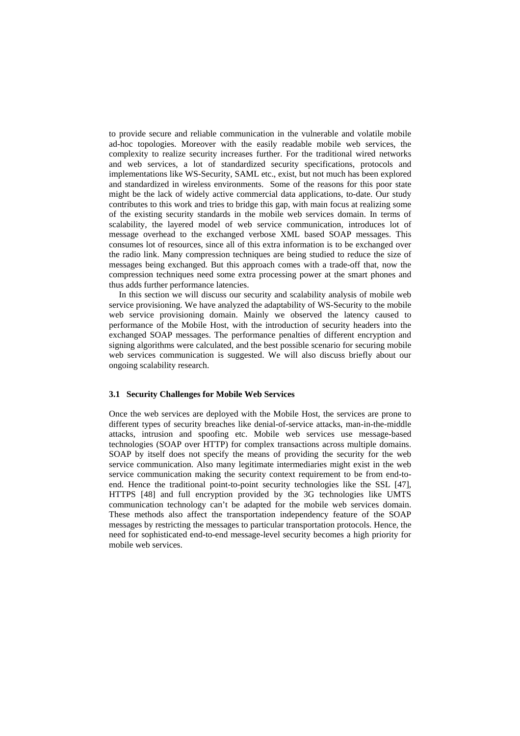to provide secure and reliable communication in the vulnerable and volatile mobile ad-hoc topologies. Moreover with the easily readable mobile web services, the complexity to realize security increases further. For the traditional wired networks and web services, a lot of standardized security specifications, protocols and implementations like WS-Security, SAML etc., exist, but not much has been explored and standardized in wireless environments. Some of the reasons for this poor state might be the lack of widely active commercial data applications, to-date. Our study contributes to this work and tries to bridge this gap, with main focus at realizing some of the existing security standards in the mobile web services domain. In terms of scalability, the layered model of web service communication, introduces lot of message overhead to the exchanged verbose XML based SOAP messages. This consumes lot of resources, since all of this extra information is to be exchanged over the radio link. Many compression techniques are being studied to reduce the size of messages being exchanged. But this approach comes with a trade-off that, now the compression techniques need some extra processing power at the smart phones and thus adds further performance latencies.

In this section we will discuss our security and scalability analysis of mobile web service provisioning. We have analyzed the adaptability of WS-Security to the mobile web service provisioning domain. Mainly we observed the latency caused to performance of the Mobile Host, with the introduction of security headers into the exchanged SOAP messages. The performance penalties of different encryption and signing algorithms were calculated, and the best possible scenario for securing mobile web services communication is suggested. We will also discuss briefly about our ongoing scalability research.

## **3.1 Security Challenges for Mobile Web Services**

Once the web services are deployed with the Mobile Host, the services are prone to different types of security breaches like denial-of-service attacks, man-in-the-middle attacks, intrusion and spoofing etc. Mobile web services use message-based technologies (SOAP over HTTP) for complex transactions across multiple domains. SOAP by itself does not specify the means of providing the security for the web service communication. Also many legitimate intermediaries might exist in the web service communication making the security context requirement to be from end-toend. Hence the traditional point-to-point security technologies like the SSL [47], HTTPS [48] and full encryption provided by the 3G technologies like UMTS communication technology can't be adapted for the mobile web services domain. These methods also affect the transportation independency feature of the SOAP messages by restricting the messages to particular transportation protocols. Hence, the need for sophisticated end-to-end message-level security becomes a high priority for mobile web services.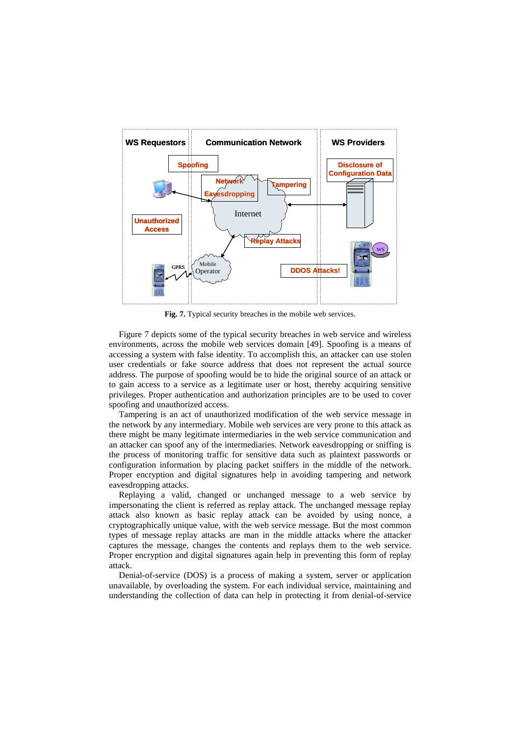

**Fig. 7.** Typical security breaches in the mobile web services.

Figure 7 depicts some of the typical security breaches in web service and wireless environments, across the mobile web services domain [49]. Spoofing is a means of accessing a system with false identity. To accomplish this, an attacker can use stolen user credentials or fake source address that does not represent the actual source address. The purpose of spoofing would be to hide the original source of an attack or to gain access to a service as a legitimate user or host, thereby acquiring sensitive privileges. Proper authentication and authorization principles are to be used to cover spoofing and unauthorized access.

Tampering is an act of unauthorized modification of the web service message in the network by any intermediary. Mobile web services are very prone to this attack as there might be many legitimate intermediaries in the web service communication and an attacker can spoof any of the intermediaries. Network eavesdropping or sniffing is the process of monitoring traffic for sensitive data such as plaintext passwords or configuration information by placing packet sniffers in the middle of the network. Proper encryption and digital signatures help in avoiding tampering and network eavesdropping attacks.

Replaying a valid, changed or unchanged message to a web service by impersonating the client is referred as replay attack. The unchanged message replay attack also known as basic replay attack can be avoided by using nonce, a cryptographically unique value, with the web service message. But the most common types of message replay attacks are man in the middle attacks where the attacker captures the message, changes the contents and replays them to the web service. Proper encryption and digital signatures again help in preventing this form of replay attack.

Denial-of-service (DOS) is a process of making a system, server or application unavailable, by overloading the system. For each individual service, maintaining and understanding the collection of data can help in protecting it from denial-of-service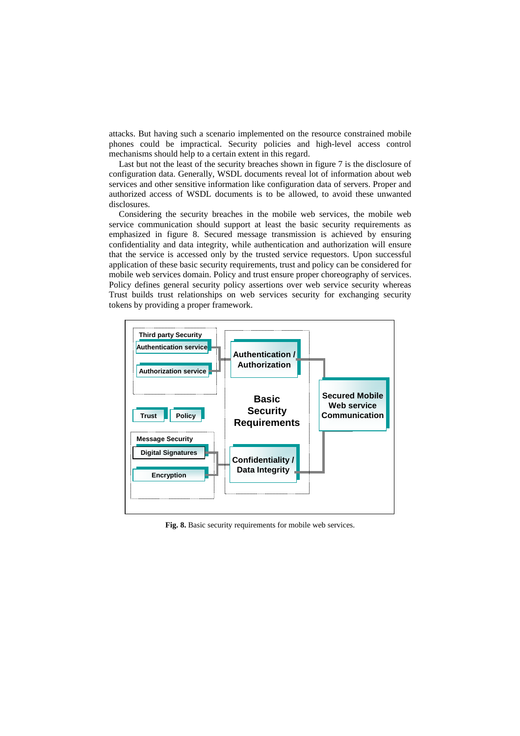attacks. But having such a scenario implemented on the resource constrained mobile phones could be impractical. Security policies and high-level access control mechanisms should help to a certain extent in this regard.

Last but not the least of the security breaches shown in figure 7 is the disclosure of configuration data. Generally, WSDL documents reveal lot of information about web services and other sensitive information like configuration data of servers. Proper and authorized access of WSDL documents is to be allowed, to avoid these unwanted disclosures.

Considering the security breaches in the mobile web services, the mobile web service communication should support at least the basic security requirements as emphasized in figure 8. Secured message transmission is achieved by ensuring confidentiality and data integrity, while authentication and authorization will ensure that the service is accessed only by the trusted service requestors. Upon successful application of these basic security requirements, trust and policy can be considered for mobile web services domain. Policy and trust ensure proper choreography of services. Policy defines general security policy assertions over web service security whereas Trust builds trust relationships on web services security for exchanging security tokens by providing a proper framework.



**Fig. 8.** Basic security requirements for mobile web services.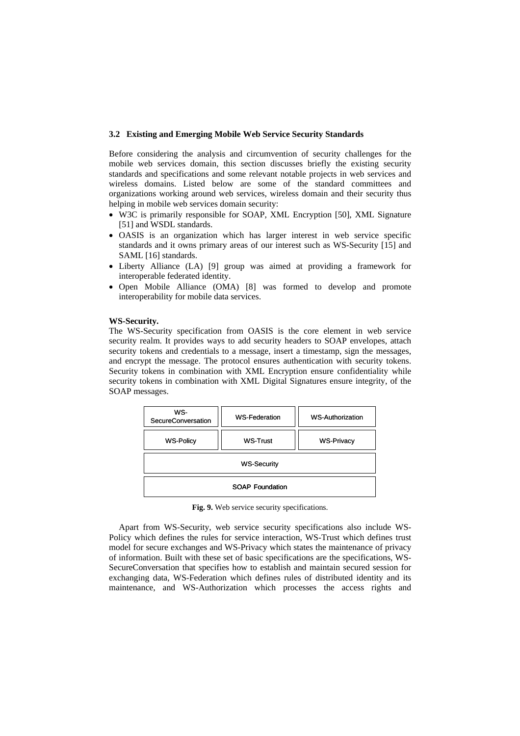## **3.2 Existing and Emerging Mobile Web Service Security Standards**

Before considering the analysis and circumvention of security challenges for the mobile web services domain, this section discusses briefly the existing security standards and specifications and some relevant notable projects in web services and wireless domains. Listed below are some of the standard committees and organizations working around web services, wireless domain and their security thus helping in mobile web services domain security:

- W3C is primarily responsible for SOAP, XML Encryption [50], XML Signature [51] and WSDL standards.
- OASIS is an organization which has larger interest in web service specific standards and it owns primary areas of our interest such as WS-Security [15] and SAML [16] standards.
- Liberty Alliance (LA) [9] group was aimed at providing a framework for interoperable federated identity.
- Open Mobile Alliance (OMA) [8] was formed to develop and promote interoperability for mobile data services.

## **WS-Security.**

The WS-Security specification from OASIS is the core element in web service security realm. It provides ways to add security headers to SOAP envelopes, attach security tokens and credentials to a message, insert a timestamp, sign the messages, and encrypt the message. The protocol ensures authentication with security tokens. Security tokens in combination with XML Encryption ensure confidentiality while security tokens in combination with XML Digital Signatures ensure integrity, of the SOAP messages.

| WS-<br>SecureConversation | <b>WS-Federation</b> | <b>WS-Authorization</b> |
|---------------------------|----------------------|-------------------------|
| <b>WS-Policy</b>          | <b>WS-Trust</b>      | <b>WS-Privacy</b>       |
| <b>WS-Security</b>        |                      |                         |
| <b>SOAP Foundation</b>    |                      |                         |

**Fig. 9.** Web service security specifications.

Apart from WS-Security, web service security specifications also include WS-Policy which defines the rules for service interaction, WS-Trust which defines trust model for secure exchanges and WS-Privacy which states the maintenance of privacy of information. Built with these set of basic specifications are the specifications, WS-SecureConversation that specifies how to establish and maintain secured session for exchanging data, WS-Federation which defines rules of distributed identity and its maintenance, and WS-Authorization which processes the access rights and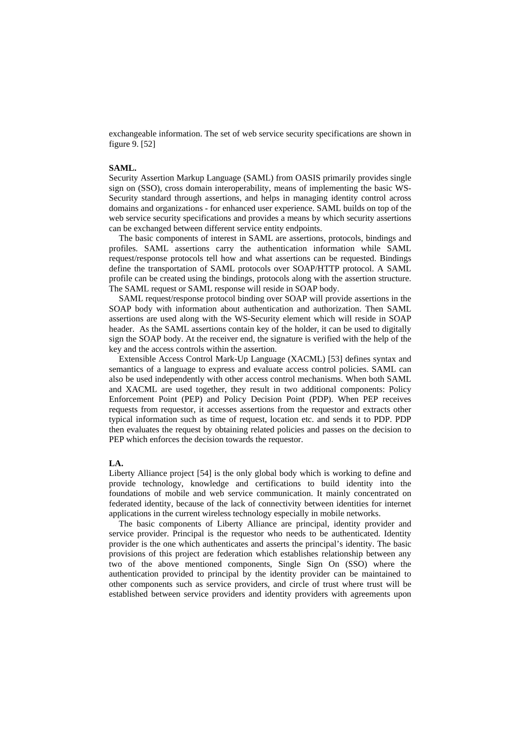exchangeable information. The set of web service security specifications are shown in figure 9. [52]

# **SAML.**

Security Assertion Markup Language (SAML) from OASIS primarily provides single sign on (SSO), cross domain interoperability, means of implementing the basic WS-Security standard through assertions, and helps in managing identity control across domains and organizations - for enhanced user experience. SAML builds on top of the web service security specifications and provides a means by which security assertions can be exchanged between different service entity endpoints.

The basic components of interest in SAML are assertions, protocols, bindings and profiles. SAML assertions carry the authentication information while SAML request/response protocols tell how and what assertions can be requested. Bindings define the transportation of SAML protocols over SOAP/HTTP protocol. A SAML profile can be created using the bindings, protocols along with the assertion structure. The SAML request or SAML response will reside in SOAP body.

SAML request/response protocol binding over SOAP will provide assertions in the SOAP body with information about authentication and authorization. Then SAML assertions are used along with the WS-Security element which will reside in SOAP header. As the SAML assertions contain key of the holder, it can be used to digitally sign the SOAP body. At the receiver end, the signature is verified with the help of the key and the access controls within the assertion.

Extensible Access Control Mark-Up Language (XACML) [53] defines syntax and semantics of a language to express and evaluate access control policies. SAML can also be used independently with other access control mechanisms. When both SAML and XACML are used together, they result in two additional components: Policy Enforcement Point (PEP) and Policy Decision Point (PDP). When PEP receives requests from requestor, it accesses assertions from the requestor and extracts other typical information such as time of request, location etc. and sends it to PDP. PDP then evaluates the request by obtaining related policies and passes on the decision to PEP which enforces the decision towards the requestor.

## **LA.**

Liberty Alliance project [54] is the only global body which is working to define and provide technology, knowledge and certifications to build identity into the foundations of mobile and web service communication. It mainly concentrated on federated identity, because of the lack of connectivity between identities for internet applications in the current wireless technology especially in mobile networks.

The basic components of Liberty Alliance are principal, identity provider and service provider. Principal is the requestor who needs to be authenticated. Identity provider is the one which authenticates and asserts the principal's identity. The basic provisions of this project are federation which establishes relationship between any two of the above mentioned components, Single Sign On (SSO) where the authentication provided to principal by the identity provider can be maintained to other components such as service providers, and circle of trust where trust will be established between service providers and identity providers with agreements upon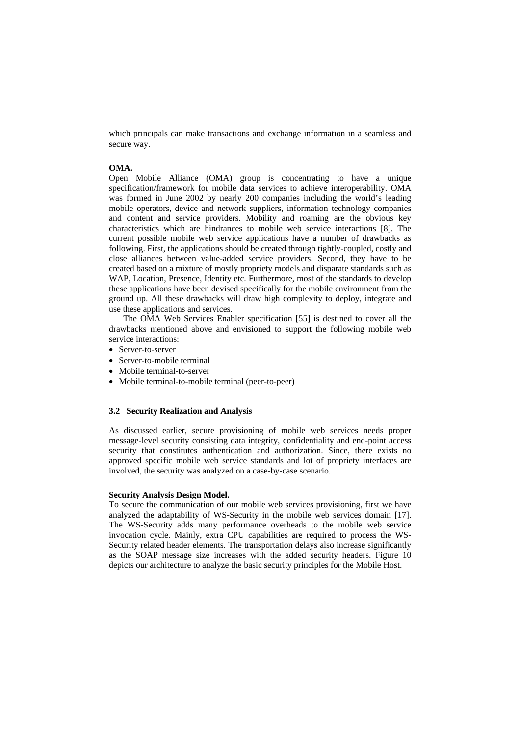which principals can make transactions and exchange information in a seamless and secure way.

# **OMA.**

Open Mobile Alliance (OMA) group is concentrating to have a unique specification/framework for mobile data services to achieve interoperability. OMA was formed in June 2002 by nearly 200 companies including the world's leading mobile operators, device and network suppliers, information technology companies and content and service providers. Mobility and roaming are the obvious key characteristics which are hindrances to mobile web service interactions [8]. The current possible mobile web service applications have a number of drawbacks as following. First, the applications should be created through tightly-coupled, costly and close alliances between value-added service providers. Second, they have to be created based on a mixture of mostly propriety models and disparate standards such as WAP, Location, Presence, Identity etc. Furthermore, most of the standards to develop these applications have been devised specifically for the mobile environment from the ground up. All these drawbacks will draw high complexity to deploy, integrate and use these applications and services.

 The OMA Web Services Enabler specification [55] is destined to cover all the drawbacks mentioned above and envisioned to support the following mobile web service interactions:

- Server-to-server
- Server-to-mobile terminal
- Mobile terminal-to-server
- Mobile terminal-to-mobile terminal (peer-to-peer)

## **3.2 Security Realization and Analysis**

As discussed earlier, secure provisioning of mobile web services needs proper message-level security consisting data integrity, confidentiality and end-point access security that constitutes authentication and authorization. Since, there exists no approved specific mobile web service standards and lot of propriety interfaces are involved, the security was analyzed on a case-by-case scenario.

## **Security Analysis Design Model.**

To secure the communication of our mobile web services provisioning, first we have analyzed the adaptability of WS-Security in the mobile web services domain [17]. The WS-Security adds many performance overheads to the mobile web service invocation cycle. Mainly, extra CPU capabilities are required to process the WS-Security related header elements. The transportation delays also increase significantly as the SOAP message size increases with the added security headers. Figure 10 depicts our architecture to analyze the basic security principles for the Mobile Host.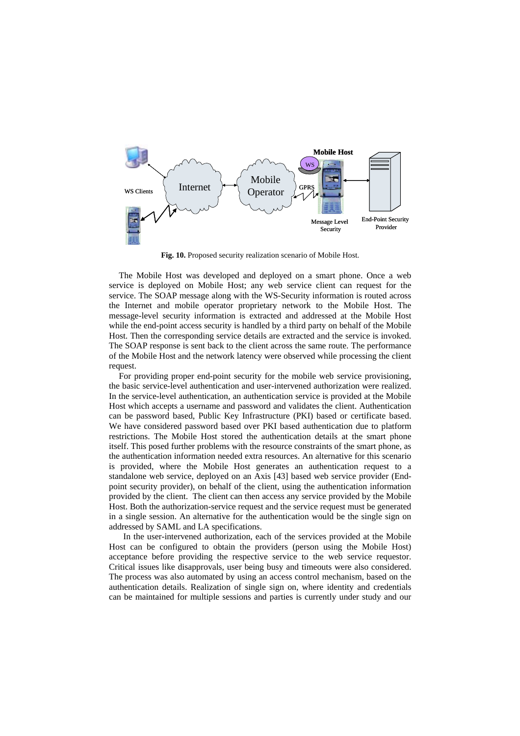

**Fig. 10.** Proposed security realization scenario of Mobile Host.

The Mobile Host was developed and deployed on a smart phone. Once a web service is deployed on Mobile Host; any web service client can request for the service. The SOAP message along with the WS-Security information is routed across the Internet and mobile operator proprietary network to the Mobile Host. The message-level security information is extracted and addressed at the Mobile Host while the end-point access security is handled by a third party on behalf of the Mobile Host. Then the corresponding service details are extracted and the service is invoked. The SOAP response is sent back to the client across the same route. The performance of the Mobile Host and the network latency were observed while processing the client request.

For providing proper end-point security for the mobile web service provisioning, the basic service-level authentication and user-intervened authorization were realized. In the service-level authentication, an authentication service is provided at the Mobile Host which accepts a username and password and validates the client. Authentication can be password based, Public Key Infrastructure (PKI) based or certificate based. We have considered password based over PKI based authentication due to platform restrictions. The Mobile Host stored the authentication details at the smart phone itself. This posed further problems with the resource constraints of the smart phone, as the authentication information needed extra resources. An alternative for this scenario is provided, where the Mobile Host generates an authentication request to a standalone web service, deployed on an Axis [43] based web service provider (Endpoint security provider), on behalf of the client, using the authentication information provided by the client. The client can then access any service provided by the Mobile Host. Both the authorization-service request and the service request must be generated in a single session. An alternative for the authentication would be the single sign on addressed by SAML and LA specifications.

 In the user-intervened authorization, each of the services provided at the Mobile Host can be configured to obtain the providers (person using the Mobile Host) acceptance before providing the respective service to the web service requestor. Critical issues like disapprovals, user being busy and timeouts were also considered. The process was also automated by using an access control mechanism, based on the authentication details. Realization of single sign on, where identity and credentials can be maintained for multiple sessions and parties is currently under study and our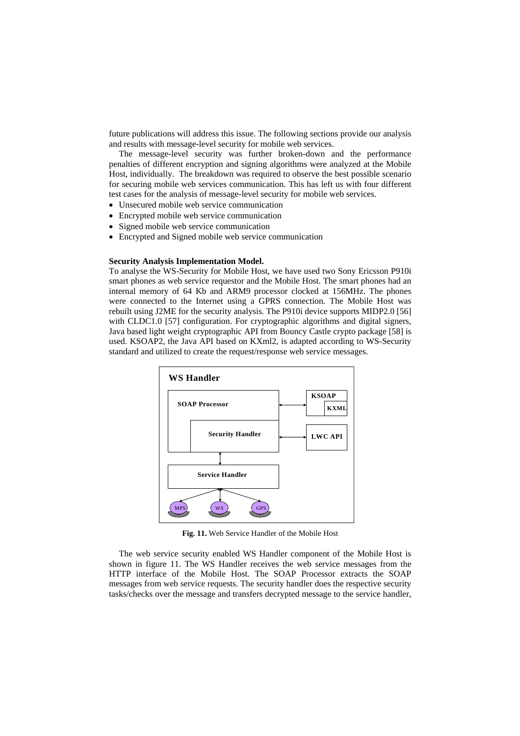future publications will address this issue. The following sections provide our analysis and results with message-level security for mobile web services.

The message-level security was further broken-down and the performance penalties of different encryption and signing algorithms were analyzed at the Mobile Host, individually. The breakdown was required to observe the best possible scenario for securing mobile web services communication. This has left us with four different test cases for the analysis of message-level security for mobile web services.

- Unsecured mobile web service communication
- Encrypted mobile web service communication
- Signed mobile web service communication
- Encrypted and Signed mobile web service communication

#### **Security Analysis Implementation Model.**

To analyse the WS-Security for Mobile Host, we have used two Sony Ericsson P910i smart phones as web service requestor and the Mobile Host. The smart phones had an internal memory of 64 Kb and ARM9 processor clocked at 156MHz. The phones were connected to the Internet using a GPRS connection. The Mobile Host was rebuilt using J2ME for the security analysis. The P910i device supports MIDP2.0 [56] with CLDC1.0 [57] configuration. For cryptographic algorithms and digital signers, Java based light weight cryptographic API from Bouncy Castle crypto package [58] is used. KSOAP2, the Java API based on KXml2, is adapted according to WS-Security standard and utilized to create the request/response web service messages.



**Fig. 11.** Web Service Handler of the Mobile Host

The web service security enabled WS Handler component of the Mobile Host is shown in figure 11. The WS Handler receives the web service messages from the HTTP interface of the Mobile Host. The SOAP Processor extracts the SOAP messages from web service requests. The security handler does the respective security tasks/checks over the message and transfers decrypted message to the service handler,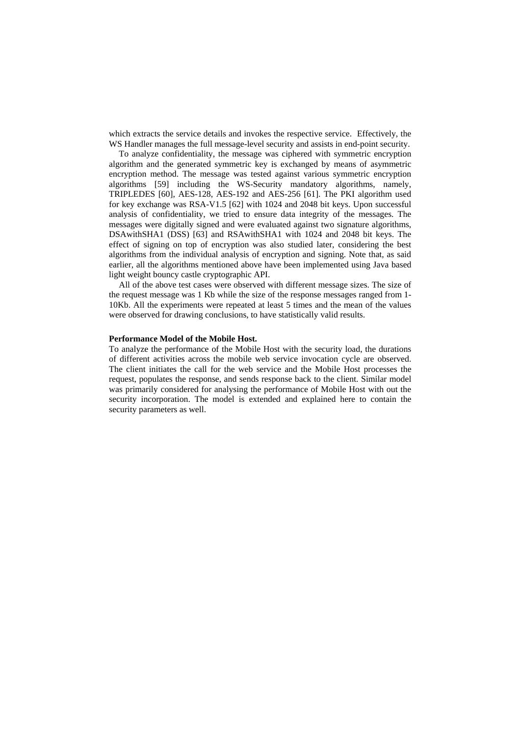which extracts the service details and invokes the respective service. Effectively, the WS Handler manages the full message-level security and assists in end-point security.

To analyze confidentiality, the message was ciphered with symmetric encryption algorithm and the generated symmetric key is exchanged by means of asymmetric encryption method. The message was tested against various symmetric encryption algorithms [59] including the WS-Security mandatory algorithms, namely, TRIPLEDES [60], AES-128, AES-192 and AES-256 [61]. The PKI algorithm used for key exchange was RSA-V1.5 [62] with 1024 and 2048 bit keys. Upon successful analysis of confidentiality, we tried to ensure data integrity of the messages. The messages were digitally signed and were evaluated against two signature algorithms, DSAwithSHA1 (DSS) [63] and RSAwithSHA1 with 1024 and 2048 bit keys. The effect of signing on top of encryption was also studied later, considering the best algorithms from the individual analysis of encryption and signing. Note that, as said earlier, all the algorithms mentioned above have been implemented using Java based light weight bouncy castle cryptographic API.

All of the above test cases were observed with different message sizes. The size of the request message was 1 Kb while the size of the response messages ranged from 1- 10Kb. All the experiments were repeated at least 5 times and the mean of the values were observed for drawing conclusions, to have statistically valid results.

# **Performance Model of the Mobile Host.**

To analyze the performance of the Mobile Host with the security load, the durations of different activities across the mobile web service invocation cycle are observed. The client initiates the call for the web service and the Mobile Host processes the request, populates the response, and sends response back to the client. Similar model was primarily considered for analysing the performance of Mobile Host with out the security incorporation. The model is extended and explained here to contain the security parameters as well.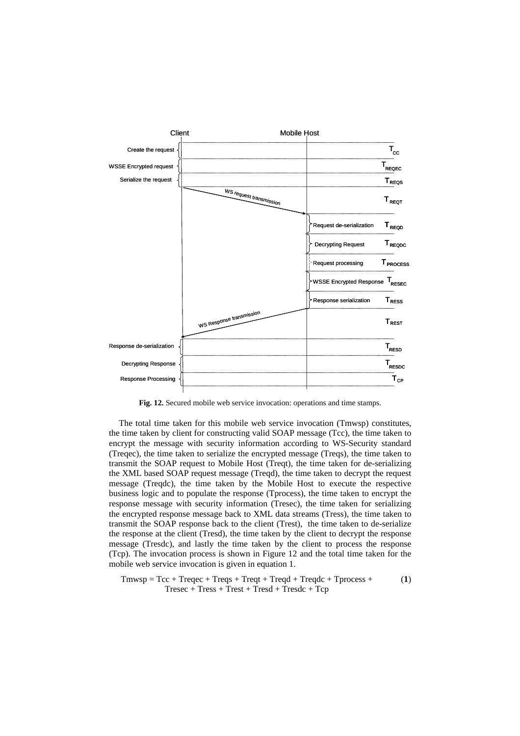

**Fig. 12.** Secured mobile web service invocation: operations and time stamps.

The total time taken for this mobile web service invocation (Tmwsp) constitutes, the time taken by client for constructing valid SOAP message (Tcc), the time taken to encrypt the message with security information according to WS-Security standard (Treqec), the time taken to serialize the encrypted message (Treqs), the time taken to transmit the SOAP request to Mobile Host (Treqt), the time taken for de-serializing the XML based SOAP request message (Treqd), the time taken to decrypt the request message (Treqdc), the time taken by the Mobile Host to execute the respective business logic and to populate the response (Tprocess), the time taken to encrypt the response message with security information (Tresec), the time taken for serializing the encrypted response message back to XML data streams (Tress), the time taken to transmit the SOAP response back to the client (Trest), the time taken to de-serialize the response at the client (Tresd), the time taken by the client to decrypt the response message (Tresdc), and lastly the time taken by the client to process the response (Tcp). The invocation process is shown in Figure 12 and the total time taken for the mobile web service invocation is given in equation 1.

$$
Tmwsp = Tcc + Treqec + Treqs + Treqt + Treqd + Treqdc + Tprocess + (1)
$$
  
 
$$
Tresec + Tress + Trest + Tresd + Tresdc + Tcp
$$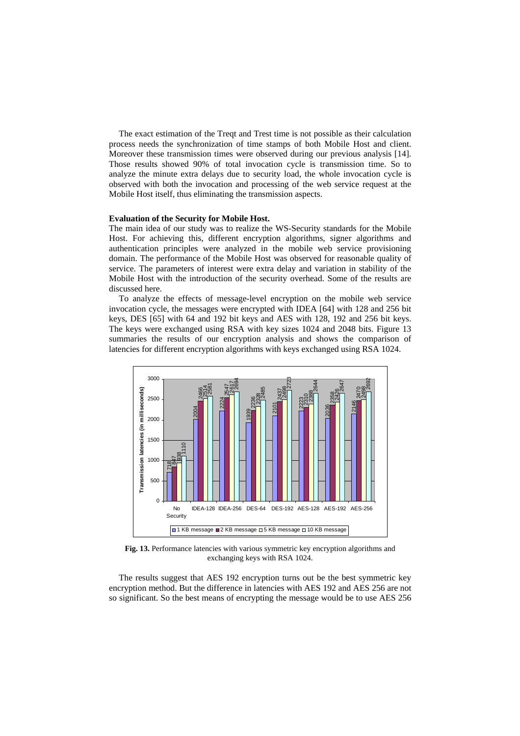The exact estimation of the Treqt and Trest time is not possible as their calculation process needs the synchronization of time stamps of both Mobile Host and client. Moreover these transmission times were observed during our previous analysis [14]. Those results showed 90% of total invocation cycle is transmission time. So to analyze the minute extra delays due to security load, the whole invocation cycle is observed with both the invocation and processing of the web service request at the Mobile Host itself, thus eliminating the transmission aspects.

## **Evaluation of the Security for Mobile Host.**

The main idea of our study was to realize the WS-Security standards for the Mobile Host. For achieving this, different encryption algorithms, signer algorithms and authentication principles were analyzed in the mobile web service provisioning domain. The performance of the Mobile Host was observed for reasonable quality of service. The parameters of interest were extra delay and variation in stability of the Mobile Host with the introduction of the security overhead. Some of the results are discussed here.

To analyze the effects of message-level encryption on the mobile web service invocation cycle, the messages were encrypted with IDEA [64] with 128 and 256 bit keys, DES [65] with 64 and 192 bit keys and AES with 128, 192 and 256 bit keys. The keys were exchanged using RSA with key sizes 1024 and 2048 bits. Figure 13 summaries the results of our encryption analysis and shows the comparison of latencies for different encryption algorithms with keys exchanged using RSA 1024.



**Fig. 13.** Performance latencies with various symmetric key encryption algorithms and exchanging keys with RSA 1024.

The results suggest that AES 192 encryption turns out be the best symmetric key encryption method. But the difference in latencies with AES 192 and AES 256 are not so significant. So the best means of encrypting the message would be to use AES 256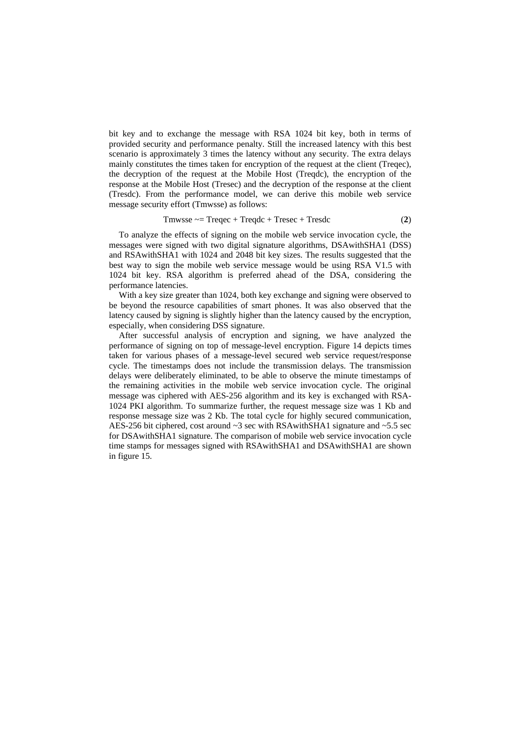bit key and to exchange the message with RSA 1024 bit key, both in terms of provided security and performance penalty. Still the increased latency with this best scenario is approximately 3 times the latency without any security. The extra delays mainly constitutes the times taken for encryption of the request at the client (Treqec), the decryption of the request at the Mobile Host (Treqdc), the encryption of the response at the Mobile Host (Tresec) and the decryption of the response at the client (Tresdc). From the performance model, we can derive this mobile web service message security effort (Tmwsse) as follows:

$$
Tmwsse \sim = Treqec + Treqdc + Tresec + Tresdc \tag{2}
$$

To analyze the effects of signing on the mobile web service invocation cycle, the messages were signed with two digital signature algorithms, DSAwithSHA1 (DSS) and RSAwithSHA1 with 1024 and 2048 bit key sizes. The results suggested that the best way to sign the mobile web service message would be using RSA V1.5 with 1024 bit key. RSA algorithm is preferred ahead of the DSA, considering the performance latencies.

With a key size greater than 1024, both key exchange and signing were observed to be beyond the resource capabilities of smart phones. It was also observed that the latency caused by signing is slightly higher than the latency caused by the encryption, especially, when considering DSS signature.

After successful analysis of encryption and signing, we have analyzed the performance of signing on top of message-level encryption. Figure 14 depicts times taken for various phases of a message-level secured web service request/response cycle. The timestamps does not include the transmission delays. The transmission delays were deliberately eliminated, to be able to observe the minute timestamps of the remaining activities in the mobile web service invocation cycle. The original message was ciphered with AES-256 algorithm and its key is exchanged with RSA-1024 PKI algorithm. To summarize further, the request message size was 1 Kb and response message size was 2 Kb. The total cycle for highly secured communication, AES-256 bit ciphered, cost around ~3 sec with RSAwithSHA1 signature and ~5.5 sec for DSAwithSHA1 signature. The comparison of mobile web service invocation cycle time stamps for messages signed with RSAwithSHA1 and DSAwithSHA1 are shown in figure 15.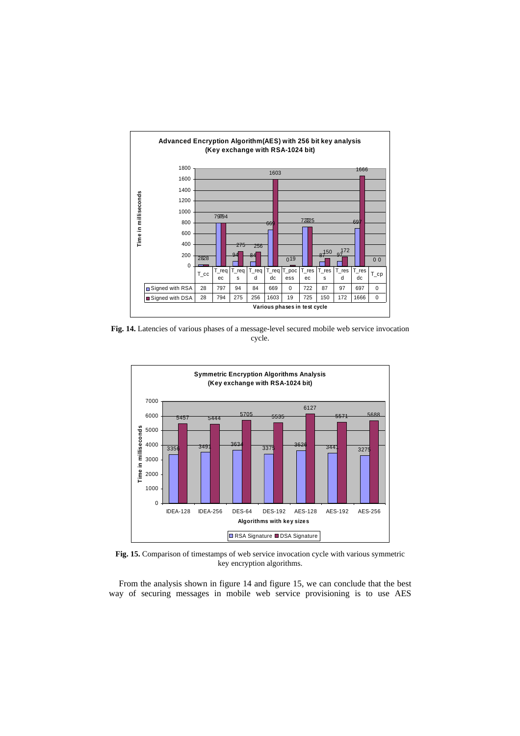

**Fig. 14.** Latencies of various phases of a message-level secured mobile web service invocation cycle.



**Fig. 15.** Comparison of timestamps of web service invocation cycle with various symmetric key encryption algorithms.

From the analysis shown in figure 14 and figure 15, we can conclude that the best way of securing messages in mobile web service provisioning is to use AES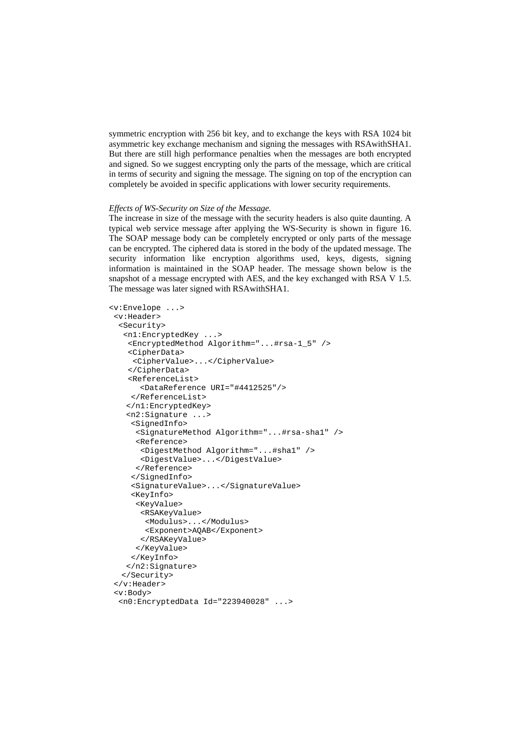symmetric encryption with 256 bit key, and to exchange the keys with RSA 1024 bit asymmetric key exchange mechanism and signing the messages with RSAwithSHA1. But there are still high performance penalties when the messages are both encrypted and signed. So we suggest encrypting only the parts of the message, which are critical in terms of security and signing the message. The signing on top of the encryption can completely be avoided in specific applications with lower security requirements.

#### *Effects of WS-Security on Size of the Message.*

The increase in size of the message with the security headers is also quite daunting. A typical web service message after applying the WS-Security is shown in figure 16. The SOAP message body can be completely encrypted or only parts of the message can be encrypted. The ciphered data is stored in the body of the updated message. The security information like encryption algorithms used, keys, digests, signing information is maintained in the SOAP header. The message shown below is the snapshot of a message encrypted with AES, and the key exchanged with RSA V 1.5. The message was later signed with RSAwithSHA1.

```
<v:Envelope ...> 
 <v:Header> 
   <Security> 
    <n1:EncryptedKey ...> 
     <EncryptedMethod Algorithm="...#rsa-1_5" /> 
     <CipherData> 
      <CipherValue>...</CipherValue> 
     </CipherData> 
     <ReferenceList> 
        <DataReference URI="#4412525"/> 
     </ReferenceList> 
    </n1:EncryptedKey> 
    <n2:Signature ...> 
      <SignedInfo> 
       <SignatureMethod Algorithm="...#rsa-sha1" /> 
       <Reference> 
        <DigestMethod Algorithm="...#sha1" /> 
       <DigestValue>...</DigestValue> 
       </Reference> 
      </SignedInfo> 
      <SignatureValue>...</SignatureValue> 
      <KeyInfo> 
       <KeyValue> 
        <RSAKeyValue> 
         <Modulus>...</Modulus> 
         <Exponent>AQAB</Exponent> 
        </RSAKeyValue> 
       </KeyValue> 
     </KeyInfo> 
    </n2:Signature> 
  </Security> 
  </v:Header> 
  <v:Body> 
   <n0:EncryptedData Id="223940028" ...>
```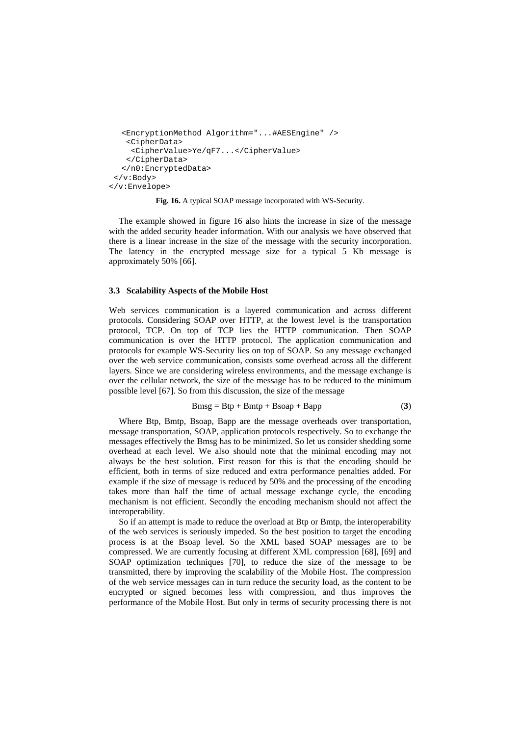```
<EncryptionMethod Algorithm="...#AESEngine" /> 
    <CipherData> 
     <CipherValue>Ye/qF7...</CipherValue> 
    </CipherData> 
  </n0:EncryptedData> 
 </v:Body> 
</v:Envelope>
```
**Fig. 16.** A typical SOAP message incorporated with WS-Security.

The example showed in figure 16 also hints the increase in size of the message with the added security header information. With our analysis we have observed that there is a linear increase in the size of the message with the security incorporation. The latency in the encrypted message size for a typical 5 Kb message is approximately 50% [66].

# **3.3 Scalability Aspects of the Mobile Host**

Web services communication is a layered communication and across different protocols. Considering SOAP over HTTP, at the lowest level is the transportation protocol, TCP. On top of TCP lies the HTTP communication. Then SOAP communication is over the HTTP protocol. The application communication and protocols for example WS-Security lies on top of SOAP. So any message exchanged over the web service communication, consists some overhead across all the different layers. Since we are considering wireless environments, and the message exchange is over the cellular network, the size of the message has to be reduced to the minimum possible level [67]. So from this discussion, the size of the message

$$
Bmsg = Btp + Bmtp + Bsoap + Bapp \tag{3}
$$

Where Btp, Bmtp, Bsoap, Bapp are the message overheads over transportation, message transportation, SOAP, application protocols respectively. So to exchange the messages effectively the Bmsg has to be minimized. So let us consider shedding some overhead at each level. We also should note that the minimal encoding may not always be the best solution. First reason for this is that the encoding should be efficient, both in terms of size reduced and extra performance penalties added. For example if the size of message is reduced by 50% and the processing of the encoding takes more than half the time of actual message exchange cycle, the encoding mechanism is not efficient. Secondly the encoding mechanism should not affect the interoperability.

So if an attempt is made to reduce the overload at Btp or Bmtp, the interoperability of the web services is seriously impeded. So the best position to target the encoding process is at the Bsoap level. So the XML based SOAP messages are to be compressed. We are currently focusing at different XML compression [68], [69] and SOAP optimization techniques [70], to reduce the size of the message to be transmitted, there by improving the scalability of the Mobile Host. The compression of the web service messages can in turn reduce the security load, as the content to be encrypted or signed becomes less with compression, and thus improves the performance of the Mobile Host. But only in terms of security processing there is not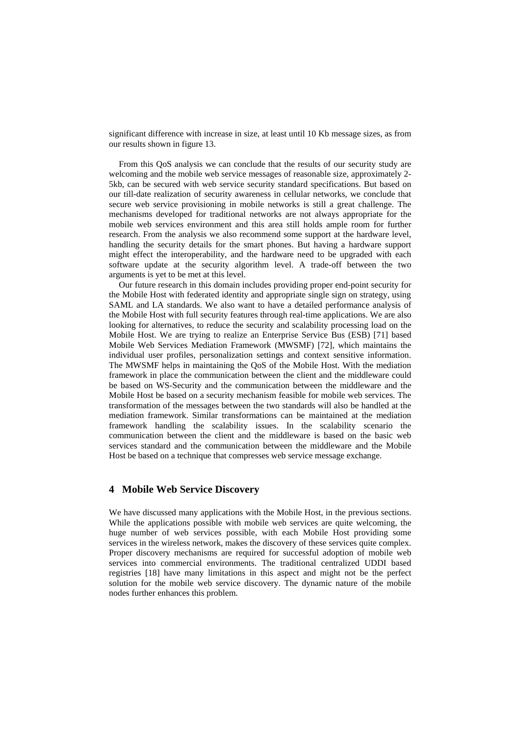significant difference with increase in size, at least until 10 Kb message sizes, as from our results shown in figure 13.

From this QoS analysis we can conclude that the results of our security study are welcoming and the mobile web service messages of reasonable size, approximately 2- 5kb, can be secured with web service security standard specifications. But based on our till-date realization of security awareness in cellular networks, we conclude that secure web service provisioning in mobile networks is still a great challenge. The mechanisms developed for traditional networks are not always appropriate for the mobile web services environment and this area still holds ample room for further research. From the analysis we also recommend some support at the hardware level, handling the security details for the smart phones. But having a hardware support might effect the interoperability, and the hardware need to be upgraded with each software update at the security algorithm level. A trade-off between the two arguments is yet to be met at this level.

Our future research in this domain includes providing proper end-point security for the Mobile Host with federated identity and appropriate single sign on strategy, using SAML and LA standards. We also want to have a detailed performance analysis of the Mobile Host with full security features through real-time applications. We are also looking for alternatives, to reduce the security and scalability processing load on the Mobile Host. We are trying to realize an Enterprise Service Bus (ESB) [71] based Mobile Web Services Mediation Framework (MWSMF) [72], which maintains the individual user profiles, personalization settings and context sensitive information. The MWSMF helps in maintaining the QoS of the Mobile Host. With the mediation framework in place the communication between the client and the middleware could be based on WS-Security and the communication between the middleware and the Mobile Host be based on a security mechanism feasible for mobile web services. The transformation of the messages between the two standards will also be handled at the mediation framework. Similar transformations can be maintained at the mediation framework handling the scalability issues. In the scalability scenario the communication between the client and the middleware is based on the basic web services standard and the communication between the middleware and the Mobile Host be based on a technique that compresses web service message exchange.

# **4 Mobile Web Service Discovery**

We have discussed many applications with the Mobile Host, in the previous sections. While the applications possible with mobile web services are quite welcoming, the huge number of web services possible, with each Mobile Host providing some services in the wireless network, makes the discovery of these services quite complex. Proper discovery mechanisms are required for successful adoption of mobile web services into commercial environments. The traditional centralized UDDI based registries [18] have many limitations in this aspect and might not be the perfect solution for the mobile web service discovery. The dynamic nature of the mobile nodes further enhances this problem.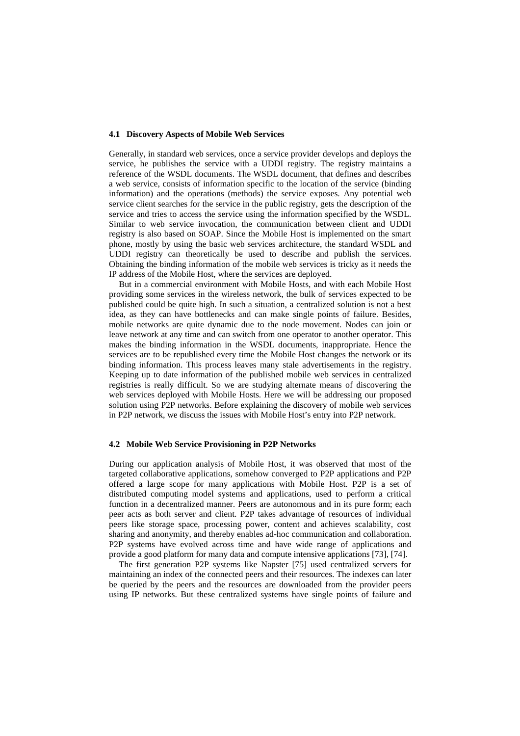## **4.1 Discovery Aspects of Mobile Web Services**

Generally, in standard web services, once a service provider develops and deploys the service, he publishes the service with a UDDI registry. The registry maintains a reference of the WSDL documents. The WSDL document, that defines and describes a web service, consists of information specific to the location of the service (binding information) and the operations (methods) the service exposes. Any potential web service client searches for the service in the public registry, gets the description of the service and tries to access the service using the information specified by the WSDL. Similar to web service invocation, the communication between client and UDDI registry is also based on SOAP. Since the Mobile Host is implemented on the smart phone, mostly by using the basic web services architecture, the standard WSDL and UDDI registry can theoretically be used to describe and publish the services. Obtaining the binding information of the mobile web services is tricky as it needs the IP address of the Mobile Host, where the services are deployed.

But in a commercial environment with Mobile Hosts, and with each Mobile Host providing some services in the wireless network, the bulk of services expected to be published could be quite high. In such a situation, a centralized solution is not a best idea, as they can have bottlenecks and can make single points of failure. Besides, mobile networks are quite dynamic due to the node movement. Nodes can join or leave network at any time and can switch from one operator to another operator. This makes the binding information in the WSDL documents, inappropriate. Hence the services are to be republished every time the Mobile Host changes the network or its binding information. This process leaves many stale advertisements in the registry. Keeping up to date information of the published mobile web services in centralized registries is really difficult. So we are studying alternate means of discovering the web services deployed with Mobile Hosts. Here we will be addressing our proposed solution using P2P networks. Before explaining the discovery of mobile web services in P2P network, we discuss the issues with Mobile Host's entry into P2P network.

## **4.2 Mobile Web Service Provisioning in P2P Networks**

During our application analysis of Mobile Host, it was observed that most of the targeted collaborative applications, somehow converged to P2P applications and P2P offered a large scope for many applications with Mobile Host. P2P is a set of distributed computing model systems and applications, used to perform a critical function in a decentralized manner. Peers are autonomous and in its pure form; each peer acts as both server and client. P2P takes advantage of resources of individual peers like storage space, processing power, content and achieves scalability, cost sharing and anonymity, and thereby enables ad-hoc communication and collaboration. P2P systems have evolved across time and have wide range of applications and provide a good platform for many data and compute intensive applications [73], [74].

The first generation P2P systems like Napster [75] used centralized servers for maintaining an index of the connected peers and their resources. The indexes can later be queried by the peers and the resources are downloaded from the provider peers using IP networks. But these centralized systems have single points of failure and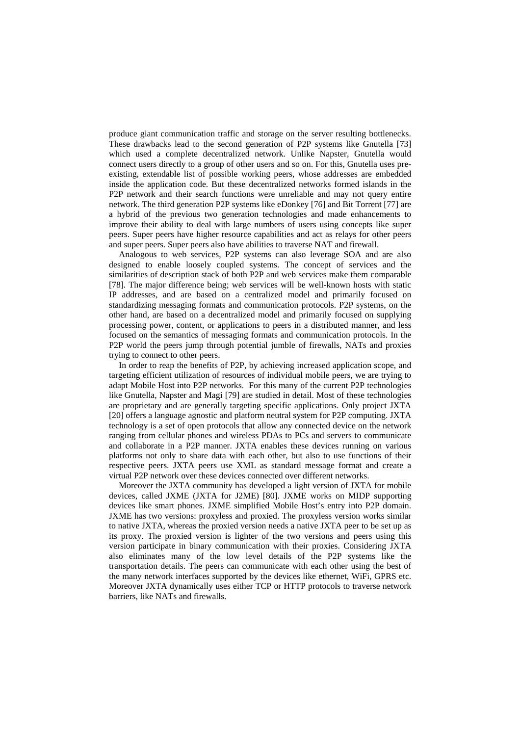produce giant communication traffic and storage on the server resulting bottlenecks. These drawbacks lead to the second generation of P2P systems like Gnutella [73] which used a complete decentralized network. Unlike Napster, Gnutella would connect users directly to a group of other users and so on. For this, Gnutella uses preexisting, extendable list of possible working peers, whose addresses are embedded inside the application code. But these decentralized networks formed islands in the P2P network and their search functions were unreliable and may not query entire network. The third generation P2P systems like eDonkey [76] and Bit Torrent [77] are a hybrid of the previous two generation technologies and made enhancements to improve their ability to deal with large numbers of users using concepts like super peers. Super peers have higher resource capabilities and act as relays for other peers and super peers. Super peers also have abilities to traverse NAT and firewall.

Analogous to web services, P2P systems can also leverage SOA and are also designed to enable loosely coupled systems. The concept of services and the similarities of description stack of both P2P and web services make them comparable [78]. The major difference being; web services will be well-known hosts with static IP addresses, and are based on a centralized model and primarily focused on standardizing messaging formats and communication protocols. P2P systems, on the other hand, are based on a decentralized model and primarily focused on supplying processing power, content, or applications to peers in a distributed manner, and less focused on the semantics of messaging formats and communication protocols. In the P2P world the peers jump through potential jumble of firewalls, NATs and proxies trying to connect to other peers.

In order to reap the benefits of P2P, by achieving increased application scope, and targeting efficient utilization of resources of individual mobile peers, we are trying to adapt Mobile Host into P2P networks. For this many of the current P2P technologies like Gnutella, Napster and Magi [79] are studied in detail. Most of these technologies are proprietary and are generally targeting specific applications. Only project JXTA [20] offers a language agnostic and platform neutral system for P2P computing. JXTA technology is a set of open protocols that allow any connected device on the network ranging from cellular phones and wireless PDAs to PCs and servers to communicate and collaborate in a P2P manner. JXTA enables these devices running on various platforms not only to share data with each other, but also to use functions of their respective peers. JXTA peers use XML as standard message format and create a virtual P2P network over these devices connected over different networks.

Moreover the JXTA community has developed a light version of JXTA for mobile devices, called JXME (JXTA for J2ME) [80]. JXME works on MIDP supporting devices like smart phones. JXME simplified Mobile Host's entry into P2P domain. JXME has two versions: proxyless and proxied. The proxyless version works similar to native JXTA, whereas the proxied version needs a native JXTA peer to be set up as its proxy. The proxied version is lighter of the two versions and peers using this version participate in binary communication with their proxies. Considering JXTA also eliminates many of the low level details of the P2P systems like the transportation details. The peers can communicate with each other using the best of the many network interfaces supported by the devices like ethernet, WiFi, GPRS etc. Moreover JXTA dynamically uses either TCP or HTTP protocols to traverse network barriers, like NATs and firewalls.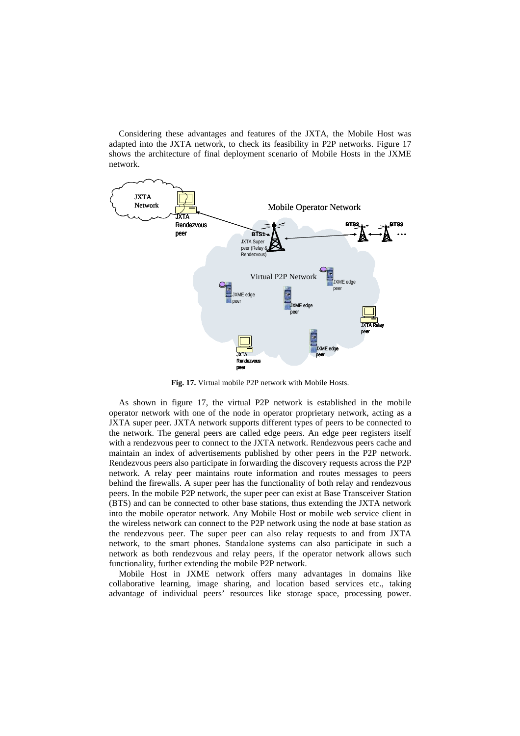Considering these advantages and features of the JXTA, the Mobile Host was adapted into the JXTA network, to check its feasibility in P2P networks. Figure 17 shows the architecture of final deployment scenario of Mobile Hosts in the JXME network.



**Fig. 17.** Virtual mobile P2P network with Mobile Hosts.

As shown in figure 17, the virtual P2P network is established in the mobile operator network with one of the node in operator proprietary network, acting as a JXTA super peer. JXTA network supports different types of peers to be connected to the network. The general peers are called edge peers. An edge peer registers itself with a rendezvous peer to connect to the JXTA network. Rendezvous peers cache and maintain an index of advertisements published by other peers in the P2P network. Rendezvous peers also participate in forwarding the discovery requests across the P2P network. A relay peer maintains route information and routes messages to peers behind the firewalls. A super peer has the functionality of both relay and rendezvous peers. In the mobile P2P network, the super peer can exist at Base Transceiver Station (BTS) and can be connected to other base stations, thus extending the JXTA network into the mobile operator network. Any Mobile Host or mobile web service client in the wireless network can connect to the P2P network using the node at base station as the rendezvous peer. The super peer can also relay requests to and from JXTA network, to the smart phones. Standalone systems can also participate in such a network as both rendezvous and relay peers, if the operator network allows such functionality, further extending the mobile P2P network.

Mobile Host in JXME network offers many advantages in domains like collaborative learning, image sharing, and location based services etc., taking advantage of individual peers' resources like storage space, processing power.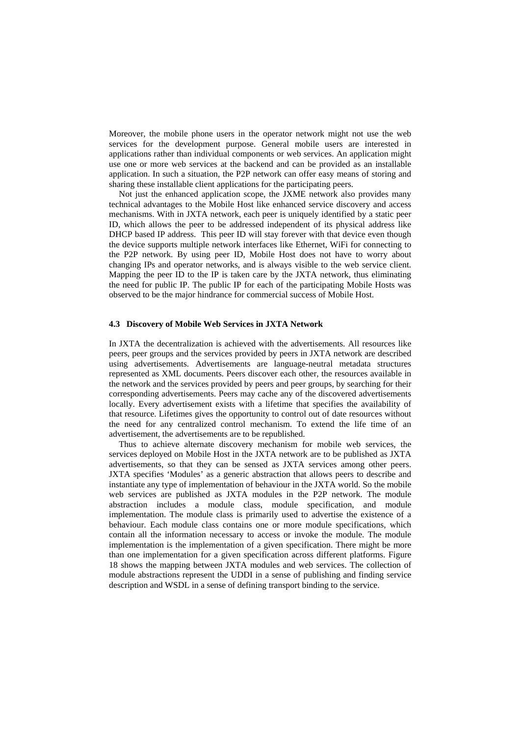Moreover, the mobile phone users in the operator network might not use the web services for the development purpose. General mobile users are interested in applications rather than individual components or web services. An application might use one or more web services at the backend and can be provided as an installable application. In such a situation, the P2P network can offer easy means of storing and sharing these installable client applications for the participating peers.

Not just the enhanced application scope, the JXME network also provides many technical advantages to the Mobile Host like enhanced service discovery and access mechanisms. With in JXTA network, each peer is uniquely identified by a static peer ID, which allows the peer to be addressed independent of its physical address like DHCP based IP address. This peer ID will stay forever with that device even though the device supports multiple network interfaces like Ethernet, WiFi for connecting to the P2P network. By using peer ID, Mobile Host does not have to worry about changing IPs and operator networks, and is always visible to the web service client. Mapping the peer ID to the IP is taken care by the JXTA network, thus eliminating the need for public IP. The public IP for each of the participating Mobile Hosts was observed to be the major hindrance for commercial success of Mobile Host.

## **4.3 Discovery of Mobile Web Services in JXTA Network**

In JXTA the decentralization is achieved with the advertisements. All resources like peers, peer groups and the services provided by peers in JXTA network are described using advertisements. Advertisements are language-neutral metadata structures represented as XML documents. Peers discover each other, the resources available in the network and the services provided by peers and peer groups, by searching for their corresponding advertisements. Peers may cache any of the discovered advertisements locally. Every advertisement exists with a lifetime that specifies the availability of that resource. Lifetimes gives the opportunity to control out of date resources without the need for any centralized control mechanism. To extend the life time of an advertisement, the advertisements are to be republished.

Thus to achieve alternate discovery mechanism for mobile web services, the services deployed on Mobile Host in the JXTA network are to be published as JXTA advertisements, so that they can be sensed as JXTA services among other peers. JXTA specifies 'Modules' as a generic abstraction that allows peers to describe and instantiate any type of implementation of behaviour in the JXTA world. So the mobile web services are published as JXTA modules in the P2P network. The module abstraction includes a module class, module specification, and module implementation. The module class is primarily used to advertise the existence of a behaviour. Each module class contains one or more module specifications, which contain all the information necessary to access or invoke the module. The module implementation is the implementation of a given specification. There might be more than one implementation for a given specification across different platforms. Figure 18 shows the mapping between JXTA modules and web services. The collection of module abstractions represent the UDDI in a sense of publishing and finding service description and WSDL in a sense of defining transport binding to the service.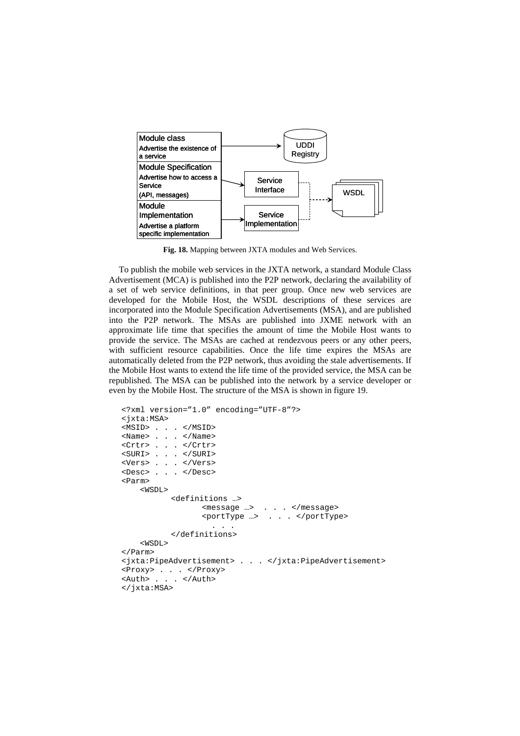

**Fig. 18.** Mapping between JXTA modules and Web Services.

To publish the mobile web services in the JXTA network, a standard Module Class Advertisement (MCA) is published into the P2P network, declaring the availability of a set of web service definitions, in that peer group. Once new web services are developed for the Mobile Host, the WSDL descriptions of these services are incorporated into the Module Specification Advertisements (MSA), and are published into the P2P network. The MSAs are published into JXME network with an approximate life time that specifies the amount of time the Mobile Host wants to provide the service. The MSAs are cached at rendezvous peers or any other peers, with sufficient resource capabilities. Once the life time expires the MSAs are automatically deleted from the P2P network, thus avoiding the stale advertisements. If the Mobile Host wants to extend the life time of the provided service, the MSA can be republished. The MSA can be published into the network by a service developer or even by the Mobile Host. The structure of the MSA is shown in figure 19.

```
<?xml version="1.0" encoding="UTF-8"?> 
<jxta:MSA> 
<MSID> . . . </MSID> 
<Name> . . . </Name> 
<Crtr> . . . </Crtr> 
<SURI> . . . </SURI> 
<Vers> . . . </Vers> 
<Desc> . . . </Desc> 
<Parm> 
     <WSDL> 
            <definitions …> 
                   <message …> . . . </message> 
                   <portType …> . . . </portType> 
                     . . . 
           </definitions> 
    K</Parm> 
<jxta:PipeAdvertisement> . . . </jxta:PipeAdvertisement> 
<Proxy> . . . </Proxy> 
<Auth> . . . </Auth> 
</jxta:MSA>
```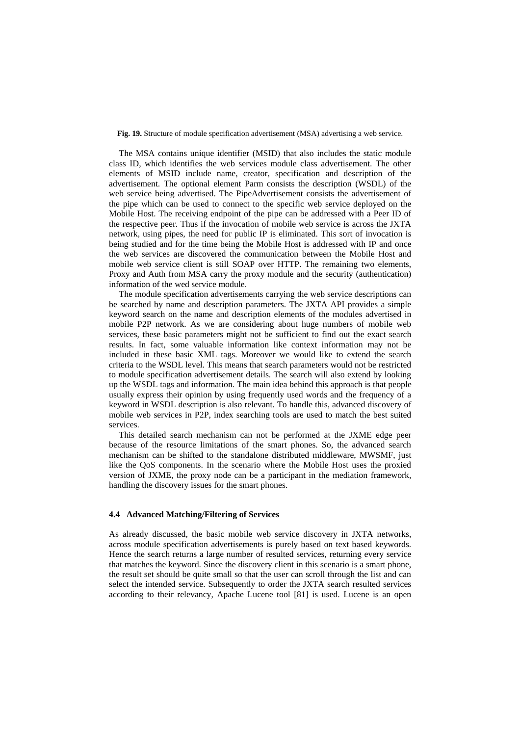**Fig. 19.** Structure of module specification advertisement (MSA) advertising a web service.

The MSA contains unique identifier (MSID) that also includes the static module class ID, which identifies the web services module class advertisement. The other elements of MSID include name, creator, specification and description of the advertisement. The optional element Parm consists the description (WSDL) of the web service being advertised. The PipeAdvertisement consists the advertisement of the pipe which can be used to connect to the specific web service deployed on the Mobile Host. The receiving endpoint of the pipe can be addressed with a Peer ID of the respective peer. Thus if the invocation of mobile web service is across the JXTA network, using pipes, the need for public IP is eliminated. This sort of invocation is being studied and for the time being the Mobile Host is addressed with IP and once the web services are discovered the communication between the Mobile Host and mobile web service client is still SOAP over HTTP. The remaining two elements, Proxy and Auth from MSA carry the proxy module and the security (authentication) information of the wed service module.

The module specification advertisements carrying the web service descriptions can be searched by name and description parameters. The JXTA API provides a simple keyword search on the name and description elements of the modules advertised in mobile P2P network. As we are considering about huge numbers of mobile web services, these basic parameters might not be sufficient to find out the exact search results. In fact, some valuable information like context information may not be included in these basic XML tags. Moreover we would like to extend the search criteria to the WSDL level. This means that search parameters would not be restricted to module specification advertisement details. The search will also extend by looking up the WSDL tags and information. The main idea behind this approach is that people usually express their opinion by using frequently used words and the frequency of a keyword in WSDL description is also relevant. To handle this, advanced discovery of mobile web services in P2P, index searching tools are used to match the best suited services.

This detailed search mechanism can not be performed at the JXME edge peer because of the resource limitations of the smart phones. So, the advanced search mechanism can be shifted to the standalone distributed middleware, MWSMF, just like the QoS components. In the scenario where the Mobile Host uses the proxied version of JXME, the proxy node can be a participant in the mediation framework, handling the discovery issues for the smart phones.

## **4.4 Advanced Matching/Filtering of Services**

As already discussed, the basic mobile web service discovery in JXTA networks, across module specification advertisements is purely based on text based keywords. Hence the search returns a large number of resulted services, returning every service that matches the keyword. Since the discovery client in this scenario is a smart phone, the result set should be quite small so that the user can scroll through the list and can select the intended service. Subsequently to order the JXTA search resulted services according to their relevancy, Apache Lucene tool [81] is used. Lucene is an open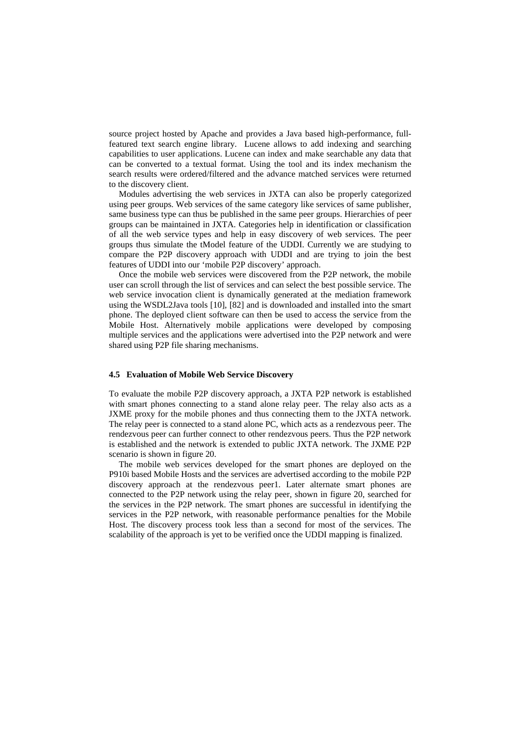source project hosted by Apache and provides a Java based high-performance, fullfeatured text search engine library. Lucene allows to add indexing and searching capabilities to user applications. Lucene can index and make searchable any data that can be converted to a textual format. Using the tool and its index mechanism the search results were ordered/filtered and the advance matched services were returned to the discovery client.

Modules advertising the web services in JXTA can also be properly categorized using peer groups. Web services of the same category like services of same publisher, same business type can thus be published in the same peer groups. Hierarchies of peer groups can be maintained in JXTA. Categories help in identification or classification of all the web service types and help in easy discovery of web services. The peer groups thus simulate the tModel feature of the UDDI. Currently we are studying to compare the P2P discovery approach with UDDI and are trying to join the best features of UDDI into our 'mobile P2P discovery' approach.

Once the mobile web services were discovered from the P2P network, the mobile user can scroll through the list of services and can select the best possible service. The web service invocation client is dynamically generated at the mediation framework using the WSDL2Java tools [10], [82] and is downloaded and installed into the smart phone. The deployed client software can then be used to access the service from the Mobile Host. Alternatively mobile applications were developed by composing multiple services and the applications were advertised into the P2P network and were shared using P2P file sharing mechanisms.

#### **4.5 Evaluation of Mobile Web Service Discovery**

To evaluate the mobile P2P discovery approach, a JXTA P2P network is established with smart phones connecting to a stand alone relay peer. The relay also acts as a JXME proxy for the mobile phones and thus connecting them to the JXTA network. The relay peer is connected to a stand alone PC, which acts as a rendezvous peer. The rendezvous peer can further connect to other rendezvous peers. Thus the P2P network is established and the network is extended to public JXTA network. The JXME P2P scenario is shown in figure 20.

The mobile web services developed for the smart phones are deployed on the P910i based Mobile Hosts and the services are advertised according to the mobile P2P discovery approach at the rendezvous peer1. Later alternate smart phones are connected to the P2P network using the relay peer, shown in figure 20, searched for the services in the P2P network. The smart phones are successful in identifying the services in the P2P network, with reasonable performance penalties for the Mobile Host. The discovery process took less than a second for most of the services. The scalability of the approach is yet to be verified once the UDDI mapping is finalized.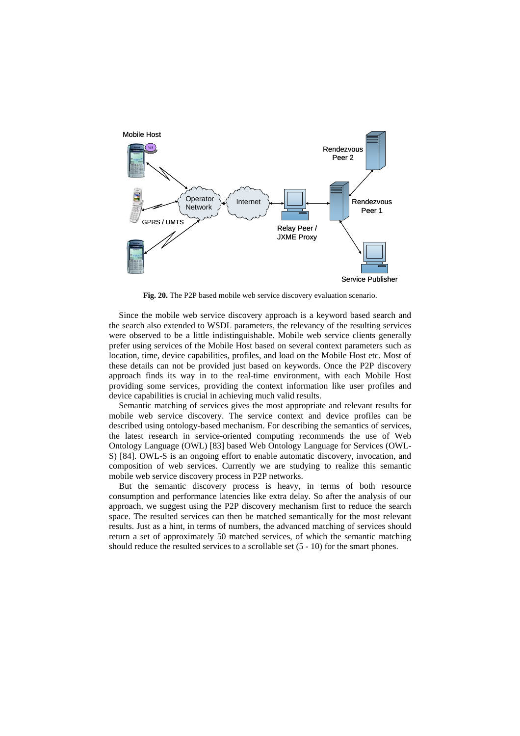

**Fig. 20.** The P2P based mobile web service discovery evaluation scenario.

Since the mobile web service discovery approach is a keyword based search and the search also extended to WSDL parameters, the relevancy of the resulting services were observed to be a little indistinguishable. Mobile web service clients generally prefer using services of the Mobile Host based on several context parameters such as location, time, device capabilities, profiles, and load on the Mobile Host etc. Most of these details can not be provided just based on keywords. Once the P2P discovery approach finds its way in to the real-time environment, with each Mobile Host providing some services, providing the context information like user profiles and device capabilities is crucial in achieving much valid results.

Semantic matching of services gives the most appropriate and relevant results for mobile web service discovery. The service context and device profiles can be described using ontology-based mechanism. For describing the semantics of services, the latest research in service-oriented computing recommends the use of Web Ontology Language (OWL) [83] based Web Ontology Language for Services (OWL-S) [84]. OWL-S is an ongoing effort to enable automatic discovery, invocation, and composition of web services. Currently we are studying to realize this semantic mobile web service discovery process in P2P networks.

But the semantic discovery process is heavy, in terms of both resource consumption and performance latencies like extra delay. So after the analysis of our approach, we suggest using the P2P discovery mechanism first to reduce the search space. The resulted services can then be matched semantically for the most relevant results. Just as a hint, in terms of numbers, the advanced matching of services should return a set of approximately 50 matched services, of which the semantic matching should reduce the resulted services to a scrollable set (5 - 10) for the smart phones.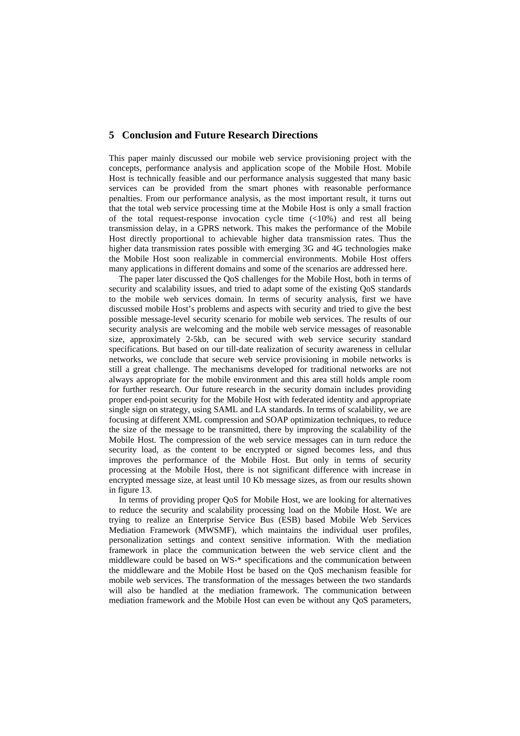# **5 Conclusion and Future Research Directions**

This paper mainly discussed our mobile web service provisioning project with the concepts, performance analysis and application scope of the Mobile Host. Mobile Host is technically feasible and our performance analysis suggested that many basic services can be provided from the smart phones with reasonable performance penalties. From our performance analysis, as the most important result, it turns out that the total web service processing time at the Mobile Host is only a small fraction of the total request-response invocation cycle time  $\left( \langle 10\% \rangle \right)$  and rest all being transmission delay, in a GPRS network. This makes the performance of the Mobile Host directly proportional to achievable higher data transmission rates. Thus the higher data transmission rates possible with emerging 3G and 4G technologies make the Mobile Host soon realizable in commercial environments. Mobile Host offers many applications in different domains and some of the scenarios are addressed here.

The paper later discussed the QoS challenges for the Mobile Host, both in terms of security and scalability issues, and tried to adapt some of the existing QoS standards to the mobile web services domain. In terms of security analysis, first we have discussed mobile Host's problems and aspects with security and tried to give the best possible message-level security scenario for mobile web services. The results of our security analysis are welcoming and the mobile web service messages of reasonable size, approximately 2-5kb, can be secured with web service security standard specifications. But based on our till-date realization of security awareness in cellular networks, we conclude that secure web service provisioning in mobile networks is still a great challenge. The mechanisms developed for traditional networks are not always appropriate for the mobile environment and this area still holds ample room for further research. Our future research in the security domain includes providing proper end-point security for the Mobile Host with federated identity and appropriate single sign on strategy, using SAML and LA standards. In terms of scalability, we are focusing at different XML compression and SOAP optimization techniques, to reduce the size of the message to be transmitted, there by improving the scalability of the Mobile Host. The compression of the web service messages can in turn reduce the security load, as the content to be encrypted or signed becomes less, and thus improves the performance of the Mobile Host. But only in terms of security processing at the Mobile Host, there is not significant difference with increase in encrypted message size, at least until 10 Kb message sizes, as from our results shown in figure 13.

In terms of providing proper QoS for Mobile Host, we are looking for alternatives to reduce the security and scalability processing load on the Mobile Host. We are trying to realize an Enterprise Service Bus (ESB) based Mobile Web Services Mediation Framework (MWSMF), which maintains the individual user profiles, personalization settings and context sensitive information. With the mediation framework in place the communication between the web service client and the middleware could be based on WS-\* specifications and the communication between the middleware and the Mobile Host be based on the QoS mechanism feasible for mobile web services. The transformation of the messages between the two standards will also be handled at the mediation framework. The communication between mediation framework and the Mobile Host can even be without any QoS parameters,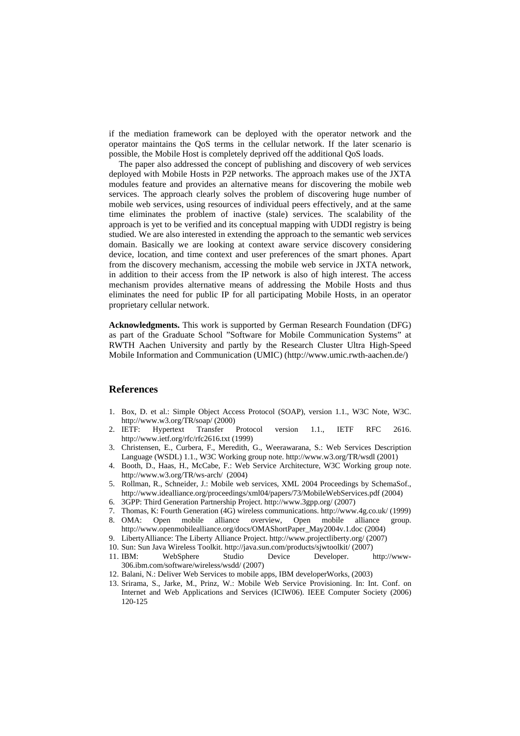if the mediation framework can be deployed with the operator network and the operator maintains the QoS terms in the cellular network. If the later scenario is possible, the Mobile Host is completely deprived off the additional QoS loads.

The paper also addressed the concept of publishing and discovery of web services deployed with Mobile Hosts in P2P networks. The approach makes use of the JXTA modules feature and provides an alternative means for discovering the mobile web services. The approach clearly solves the problem of discovering huge number of mobile web services, using resources of individual peers effectively, and at the same time eliminates the problem of inactive (stale) services. The scalability of the approach is yet to be verified and its conceptual mapping with UDDI registry is being studied. We are also interested in extending the approach to the semantic web services domain. Basically we are looking at context aware service discovery considering device, location, and time context and user preferences of the smart phones. Apart from the discovery mechanism, accessing the mobile web service in JXTA network, in addition to their access from the IP network is also of high interest. The access mechanism provides alternative means of addressing the Mobile Hosts and thus eliminates the need for public IP for all participating Mobile Hosts, in an operator proprietary cellular network.

**Acknowledgments.** This work is supported by German Research Foundation (DFG) as part of the Graduate School "Software for Mobile Communication Systems" at RWTH Aachen University and partly by the Research Cluster Ultra High-Speed Mobile Information and Communication (UMIC) (http://www.umic.rwth-aachen.de/)

# **References**

- 1. Box, D. et al.: Simple Object Access Protocol (SOAP), version 1.1., W3C Note, W3C. http://www.w3.org/TR/soap/ (2000)
- 2. IETF: Hypertext Transfer Protocol version 1.1., IETF RFC 2616. http://www.ietf.org/rfc/rfc2616.txt (1999)
- 3. Christensen, E., Curbera, F., Meredith, G., Weerawarana, S.: Web Services Description Language (WSDL) 1.1., W3C Working group note. http://www.w3.org/TR/wsdl (2001)
- 4. Booth, D., Haas, H., McCabe, F.: Web Service Architecture, W3C Working group note. http://www.w3.org/TR/ws-arch/ (2004)
- 5. Rollman, R., Schneider, J.: Mobile web services, XML 2004 Proceedings by SchemaSof., http://www.idealliance.org/proceedings/xml04/papers/73/MobileWebServices.pdf (2004)
- 6. 3GPP: Third Generation Partnership Project. http://www.3gpp.org/ (2007)
- 7. Thomas, K: Fourth Generation (4G) wireless communications. http://www.4g.co.uk/ (1999)
- 8. OMA: Open mobile alliance overview, Open mobile alliance group. http://www.openmobilealliance.org/docs/OMAShortPaper\_May2004v.1.doc (2004)
- 9. LibertyAlliance: The Liberty Alliance Project. http://www.projectliberty.org/ (2007)
- 10. Sun: Sun Java Wireless Toolkit. http://java.sun.com/products/sjwtoolkit/ (2007)
- 11. IBM: WebSphere Studio Device Developer. http://www-306.ibm.com/software/wireless/wsdd/ (2007)
- 12. Balani, N.: Deliver Web Services to mobile apps, IBM developerWorks, (2003)
- 13. Srirama, S., Jarke, M., Prinz, W.: Mobile Web Service Provisioning. In: Int. Conf. on Internet and Web Applications and Services (ICIW06). IEEE Computer Society (2006) 120-125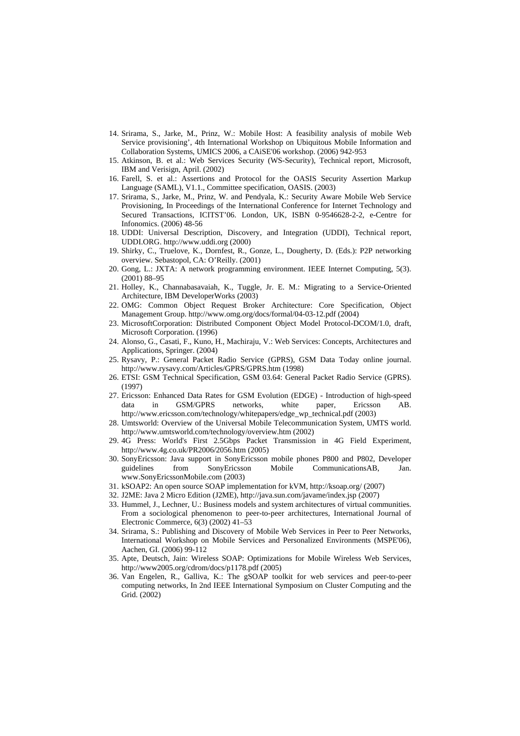- 14. Srirama, S., Jarke, M., Prinz, W.: Mobile Host: A feasibility analysis of mobile Web Service provisioning', 4th International Workshop on Ubiquitous Mobile Information and Collaboration Systems, UMICS 2006, a CAiSE'06 workshop. (2006) 942-953
- 15. Atkinson, B. et al.: Web Services Security (WS-Security), Technical report, Microsoft, IBM and Verisign, April. (2002)
- 16. Farell, S. et al.: Assertions and Protocol for the OASIS Security Assertion Markup Language (SAML), V1.1., Committee specification, OASIS. (2003)
- 17. Srirama, S., Jarke, M., Prinz, W. and Pendyala, K.: Security Aware Mobile Web Service Provisioning, In Proceedings of the International Conference for Internet Technology and Secured Transactions, ICITST'06. London, UK, ISBN 0-9546628-2-2, e-Centre for Infonomics. (2006) 48-56
- 18. UDDI: Universal Description, Discovery, and Integration (UDDI), Technical report, UDDI.ORG. http://www.uddi.org (2000)
- 19. Shirky, C., Truelove, K., Dornfest, R., Gonze, L., Dougherty, D. (Eds.): P2P networking overview. Sebastopol, CA: O'Reilly. (2001)
- 20. Gong, L.: JXTA: A network programming environment. IEEE Internet Computing, 5(3). (2001) 88–95
- 21. Holley, K., Channabasavaiah, K., Tuggle, Jr. E. M.: Migrating to a Service-Oriented Architecture, IBM DeveloperWorks (2003)
- 22. OMG: Common Object Request Broker Architecture: Core Specification, Object Management Group. http://www.omg.org/docs/formal/04-03-12.pdf (2004)
- 23. MicrosoftCorporation: Distributed Component Object Model Protocol-DCOM/1.0, draft, Microsoft Corporation. (1996)
- 24. Alonso, G., Casati, F., Kuno, H., Machiraju, V.: Web Services: Concepts, Architectures and Applications, Springer. (2004)
- 25. Rysavy, P.: General Packet Radio Service (GPRS), GSM Data Today online journal. http://www.rysavy.com/Articles/GPRS/GPRS.htm (1998)
- 26. ETSI: GSM Technical Specification, GSM 03.64: General Packet Radio Service (GPRS). (1997)
- 27. Ericsson: Enhanced Data Rates for GSM Evolution (EDGE) Introduction of high-speed data in GSM/GPRS networks, white paper, Ericsson AB. http://www.ericsson.com/technology/whitepapers/edge\_wp\_technical.pdf (2003)
- 28. Umtsworld: Overview of the Universal Mobile Telecommunication System, UMTS world. http://www.umtsworld.com/technology/overview.htm (2002)
- 29. 4G Press: World's First 2.5Gbps Packet Transmission in 4G Field Experiment, http://www.4g.co.uk/PR2006/2056.htm (2005)
- 30. SonyEricsson: Java support in SonyEricsson mobile phones P800 and P802, Developer guidelines from SonyEricsson Mobile CommunicationsAB, Jan. www.SonyEricssonMobile.com (2003)
- 31. kSOAP2: An open source SOAP implementation for kVM, http://ksoap.org/ (2007)
- 32. J2ME: Java 2 Micro Edition (J2ME), http://java.sun.com/javame/index.jsp (2007)
- 33. Hummel, J., Lechner, U.: Business models and system architectures of virtual communities. From a sociological phenomenon to peer-to-peer architectures, International Journal of Electronic Commerce, 6(3) (2002) 41–53
- 34. Srirama, S.: Publishing and Discovery of Mobile Web Services in Peer to Peer Networks, International Workshop on Mobile Services and Personalized Environments (MSPE'06), Aachen, GI. (2006) 99-112
- 35. Apte, Deutsch, Jain: Wireless SOAP: Optimizations for Mobile Wireless Web Services, http://www2005.org/cdrom/docs/p1178.pdf (2005)
- 36. Van Engelen, R., Galliva, K.: The gSOAP toolkit for web services and peer-to-peer computing networks, In 2nd IEEE International Symposium on Cluster Computing and the Grid. (2002)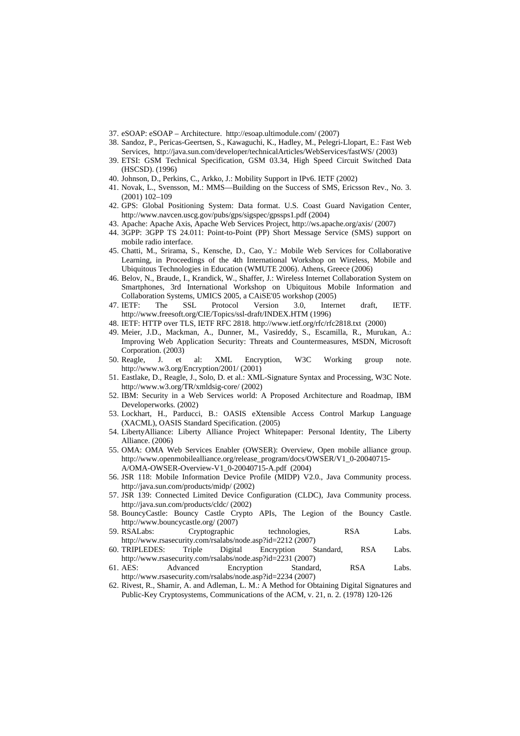- 37. eSOAP: eSOAP Architecture. http://esoap.ultimodule.com/ (2007)
- 38. Sandoz, P., Pericas-Geertsen, S., Kawaguchi, K., Hadley, M., Pelegri-Llopart, E.: Fast Web Services, http://java.sun.com/developer/technicalArticles/WebServices/fastWS/ (2003)
- 39. ETSI: GSM Technical Specification, GSM 03.34, High Speed Circuit Switched Data (HSCSD). (1996)
- 40. Johnson, D., Perkins, C., Arkko, J.: Mobility Support in IPv6. IETF (2002)
- 41. Novak, L., Svensson, M.: MMS—Building on the Success of SMS, Ericsson Rev., No. 3. (2001) 102–109
- 42. GPS: Global Positioning System: Data format. U.S. Coast Guard Navigation Center, http://www.navcen.uscg.gov/pubs/gps/sigspec/gpssps1.pdf (2004)
- 43. Apache: Apache Axis, Apache Web Services Project, http://ws.apache.org/axis/ (2007)
- 44. 3GPP: 3GPP TS 24.011: Point-to-Point (PP) Short Message Service (SMS) support on mobile radio interface.
- 45. Chatti, M., Srirama, S., Kensche, D., Cao, Y.: Mobile Web Services for Collaborative Learning, in Proceedings of the 4th International Workshop on Wireless, Mobile and Ubiquitous Technologies in Education (WMUTE 2006). Athens, Greece (2006)
- 46. Belov, N., Braude, I., Krandick, W., Shaffer, J.: Wireless Internet Collaboration System on Smartphones, 3rd International Workshop on Ubiquitous Mobile Information and Collaboration Systems, UMICS 2005, a CAiSE'05 workshop (2005)
- 47. IETF: The SSL Protocol Version 3.0, Internet draft, IETF. http://www.freesoft.org/CIE/Topics/ssl-draft/INDEX.HTM (1996)
- 48. IETF: HTTP over TLS, IETF RFC 2818. http://www.ietf.org/rfc/rfc2818.txt (2000)
- 49. Meier, J.D., Mackman, A., Dunner, M., Vasireddy, S., Escamilla, R., Murukan, A.: Improving Web Application Security: Threats and Countermeasures, MSDN, Microsoft Corporation. (2003)
- 50. Reagle, J. et al: XML Encryption, W3C Working group note. http://www.w3.org/Encryption/2001/ (2001)
- 51. Eastlake, D., Reagle, J., Solo, D. et al.: XML-Signature Syntax and Processing, W3C Note. http://www.w3.org/TR/xmldsig-core/ (2002)
- 52. IBM: Security in a Web Services world: A Proposed Architecture and Roadmap, IBM Developerworks. (2002)
- 53. Lockhart, H., Parducci, B.: OASIS eXtensible Access Control Markup Language (XACML), OASIS Standard Specification. (2005)
- 54. LibertyAlliance: Liberty Alliance Project Whitepaper: Personal Identity, The Liberty Alliance. (2006)
- 55. OMA: OMA Web Services Enabler (OWSER): Overview, Open mobile alliance group. http://www.openmobilealliance.org/release\_program/docs/OWSER/V1\_0-20040715- A/OMA-OWSER-Overview-V1\_0-20040715-A.pdf (2004)
- 56. JSR 118: Mobile Information Device Profile (MIDP) V2.0., Java Community process. http://java.sun.com/products/midp/ (2002)
- 57. JSR 139: Connected Limited Device Configuration (CLDC), Java Community process. http://java.sun.com/products/cldc/ (2002)
- 58. BouncyCastle: Bouncy Castle Crypto APIs, The Legion of the Bouncy Castle. http://www.bouncycastle.org/ (2007)
- 59. RSALabs: Cryptographic technologies, RSA Labs. http://www.rsasecurity.com/rsalabs/node.asp?id=2212 (2007)
- 60. TRIPLEDES: Triple Digital Encryption Standard, RSA Labs. http://www.rsasecurity.com/rsalabs/node.asp?id=2231 (2007)
- 61. AES: Advanced Encryption Standard, RSA Labs. http://www.rsasecurity.com/rsalabs/node.asp?id=2234 (2007)
- 62. Rivest, R., Shamir, A. and Adleman, L. M.: A Method for Obtaining Digital Signatures and Public-Key Cryptosystems, Communications of the ACM, v. 21, n. 2. (1978) 120-126